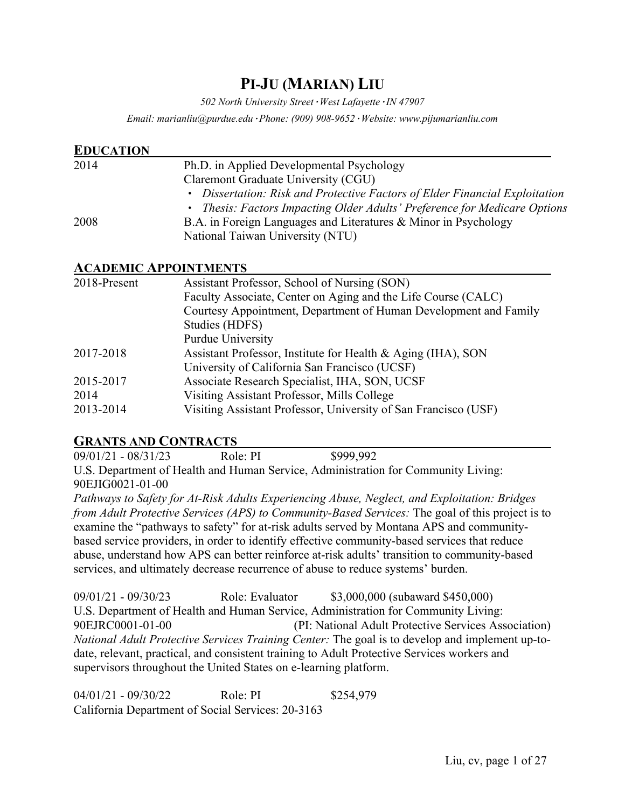# **PI-JU (MARIAN) LIU**

*502 North University Street·West Lafayette·IN 47907*

*Email: marianliu@purdue.edu·Phone: (909) 908-9652·Website: www.pijumarianliu.com*

| <b>EDUCATION</b> |                                                                             |
|------------------|-----------------------------------------------------------------------------|
| 2014             | Ph.D. in Applied Developmental Psychology                                   |
|                  | Claremont Graduate University (CGU)                                         |
|                  | • Dissertation: Risk and Protective Factors of Elder Financial Exploitation |
|                  | • Thesis: Factors Impacting Older Adults' Preference for Medicare Options   |
| 2008             | B.A. in Foreign Languages and Literatures & Minor in Psychology             |
|                  | National Taiwan University (NTU)                                            |
|                  |                                                                             |

#### **ACADEMIC APPOINTMENTS**

| 2018-Present | Assistant Professor, School of Nursing (SON)                     |  |
|--------------|------------------------------------------------------------------|--|
|              | Faculty Associate, Center on Aging and the Life Course (CALC)    |  |
|              | Courtesy Appointment, Department of Human Development and Family |  |
|              | Studies (HDFS)                                                   |  |
|              | Purdue University                                                |  |
| 2017-2018    | Assistant Professor, Institute for Health & Aging (IHA), SON     |  |
|              | University of California San Francisco (UCSF)                    |  |
| 2015-2017    | Associate Research Specialist, IHA, SON, UCSF                    |  |
| 2014         | Visiting Assistant Professor, Mills College                      |  |
| 2013-2014    | Visiting Assistant Professor, University of San Francisco (USF)  |  |

#### **GRANTS AND CONTRACTS**

09/01/21 - 08/31/23 Role: PI \$999,992 U.S. Department of Health and Human Service, Administration for Community Living: 90EJIG0021-01-00

*Pathways to Safety for At-Risk Adults Experiencing Abuse, Neglect, and Exploitation: Bridges from Adult Protective Services (APS) to Community-Based Services:* The goal of this project is to examine the "pathways to safety" for at-risk adults served by Montana APS and communitybased service providers, in order to identify effective community-based services that reduce abuse, understand how APS can better reinforce at-risk adults' transition to community-based services, and ultimately decrease recurrence of abuse to reduce systems' burden.

09/01/21 - 09/30/23 Role: Evaluator \$3,000,000 (subaward \$450,000) U.S. Department of Health and Human Service, Administration for Community Living: 90EJRC0001-01-00 (PI: National Adult Protective Services Association) *National Adult Protective Services Training Center:* The goal is to develop and implement up-todate, relevant, practical, and consistent training to Adult Protective Services workers and supervisors throughout the United States on e-learning platform.

04/01/21 - 09/30/22 Role: PI \$254,979 California Department of Social Services: 20-3163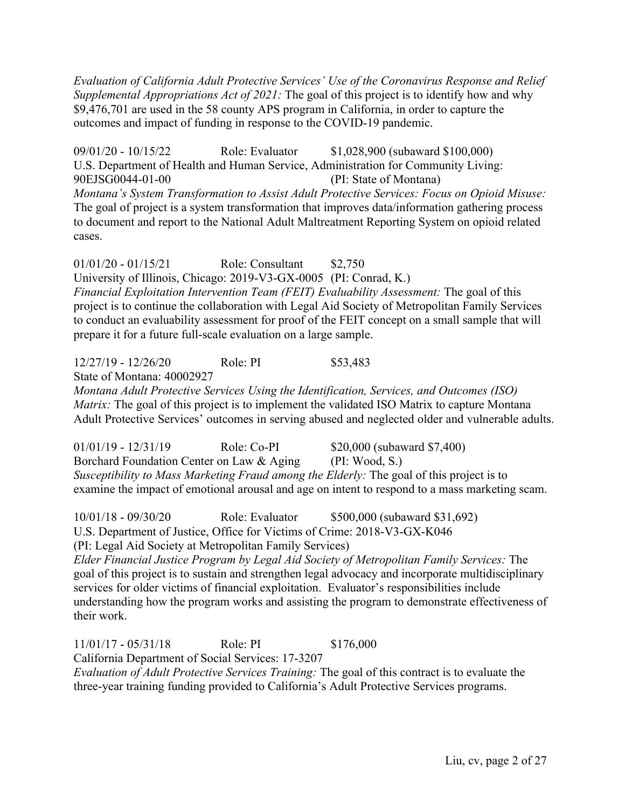*Evaluation of California Adult Protective Services' Use of the Coronavirus Response and Relief Supplemental Appropriations Act of 2021:* The goal of this project is to identify how and why \$9,476,701 are used in the 58 county APS program in California, in order to capture the outcomes and impact of funding in response to the COVID-19 pandemic.

09/01/20 - 10/15/22 Role: Evaluator \$1,028,900 (subaward \$100,000) U.S. Department of Health and Human Service, Administration for Community Living: 90EJSG0044-01-00 (PI: State of Montana) *Montana's System Transformation to Assist Adult Protective Services: Focus on Opioid Misuse:* The goal of project is a system transformation that improves data/information gathering process to document and report to the National Adult Maltreatment Reporting System on opioid related cases.

01/01/20 - 01/15/21 Role: Consultant \$2,750 University of Illinois, Chicago: 2019-V3-GX-0005 (PI: Conrad, K.) *Financial Exploitation Intervention Team (FEIT) Evaluability Assessment:* The goal of this project is to continue the collaboration with Legal Aid Society of Metropolitan Family Services to conduct an evaluability assessment for proof of the FEIT concept on a small sample that will prepare it for a future full-scale evaluation on a large sample.

12/27/19 - 12/26/20 Role: PI \$53,483 State of Montana: 40002927 *Montana Adult Protective Services Using the Identification, Services, and Outcomes (ISO) Matrix:* The goal of this project is to implement the validated ISO Matrix to capture Montana Adult Protective Services' outcomes in serving abused and neglected older and vulnerable adults.

01/01/19 - 12/31/19 Role: Co-PI \$20,000 (subaward \$7,400) Borchard Foundation Center on Law & Aging (PI: Wood, S.) *Susceptibility to Mass Marketing Fraud among the Elderly:* The goal of this project is to examine the impact of emotional arousal and age on intent to respond to a mass marketing scam.

10/01/18 - 09/30/20 Role: Evaluator \$500,000 (subaward \$31,692) U.S. Department of Justice, Office for Victims of Crime: 2018-V3-GX-K046

(PI: Legal Aid Society at Metropolitan Family Services)

*Elder Financial Justice Program by Legal Aid Society of Metropolitan Family Services:* The goal of this project is to sustain and strengthen legal advocacy and incorporate multidisciplinary services for older victims of financial exploitation. Evaluator's responsibilities include understanding how the program works and assisting the program to demonstrate effectiveness of their work.

11/01/17 - 05/31/18 Role: PI \$176,000

California Department of Social Services: 17-3207

*Evaluation of Adult Protective Services Training:* The goal of this contract is to evaluate the three-year training funding provided to California's Adult Protective Services programs.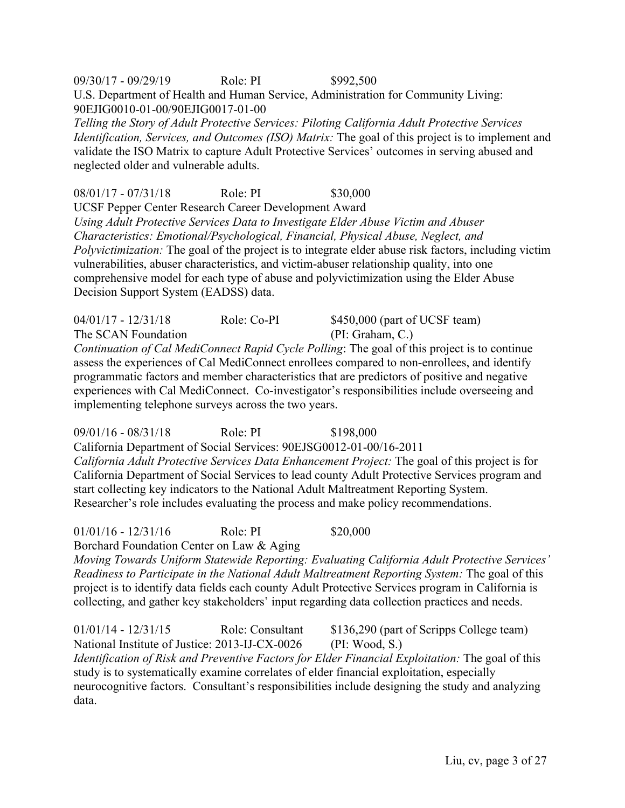09/30/17 - 09/29/19 Role: PI \$992,500 U.S. Department of Health and Human Service, Administration for Community Living: 90EJIG0010-01-00/90EJIG0017-01-00

*Telling the Story of Adult Protective Services: Piloting California Adult Protective Services Identification, Services, and Outcomes (ISO) Matrix: The goal of this project is to implement and* validate the ISO Matrix to capture Adult Protective Services' outcomes in serving abused and neglected older and vulnerable adults.

08/01/17 - 07/31/18 Role: PI \$30,000

UCSF Pepper Center Research Career Development Award *Using Adult Protective Services Data to Investigate Elder Abuse Victim and Abuser Characteristics: Emotional/Psychological, Financial, Physical Abuse, Neglect, and Polyvictimization:* The goal of the project is to integrate elder abuse risk factors, including victim vulnerabilities, abuser characteristics, and victim-abuser relationship quality, into one comprehensive model for each type of abuse and polyvictimization using the Elder Abuse Decision Support System (EADSS) data.

04/01/17 - 12/31/18 Role: Co-PI \$450,000 (part of UCSF team) The SCAN Foundation (PI: Graham, C.) *Continuation of Cal MediConnect Rapid Cycle Polling*: The goal of this project is to continue assess the experiences of Cal MediConnect enrollees compared to non-enrollees, and identify programmatic factors and member characteristics that are predictors of positive and negative experiences with Cal MediConnect. Co-investigator's responsibilities include overseeing and implementing telephone surveys across the two years.

09/01/16 - 08/31/18 Role: PI \$198,000 California Department of Social Services: 90EJSG0012-01-00/16-2011 *California Adult Protective Services Data Enhancement Project:* The goal of this project is for California Department of Social Services to lead county Adult Protective Services program and start collecting key indicators to the National Adult Maltreatment Reporting System. Researcher's role includes evaluating the process and make policy recommendations.

01/01/16 - 12/31/16 Role: PI \$20,000 Borchard Foundation Center on Law & Aging

*Moving Towards Uniform Statewide Reporting: Evaluating California Adult Protective Services' Readiness to Participate in the National Adult Maltreatment Reporting System:* The goal of this project is to identify data fields each county Adult Protective Services program in California is collecting, and gather key stakeholders' input regarding data collection practices and needs.

01/01/14 - 12/31/15 Role: Consultant \$136,290 (part of Scripps College team) National Institute of Justice: 2013-IJ-CX-0026 (PI: Wood, S.) *Identification of Risk and Preventive Factors for Elder Financial Exploitation:* The goal of this study is to systematically examine correlates of elder financial exploitation, especially neurocognitive factors. Consultant's responsibilities include designing the study and analyzing data.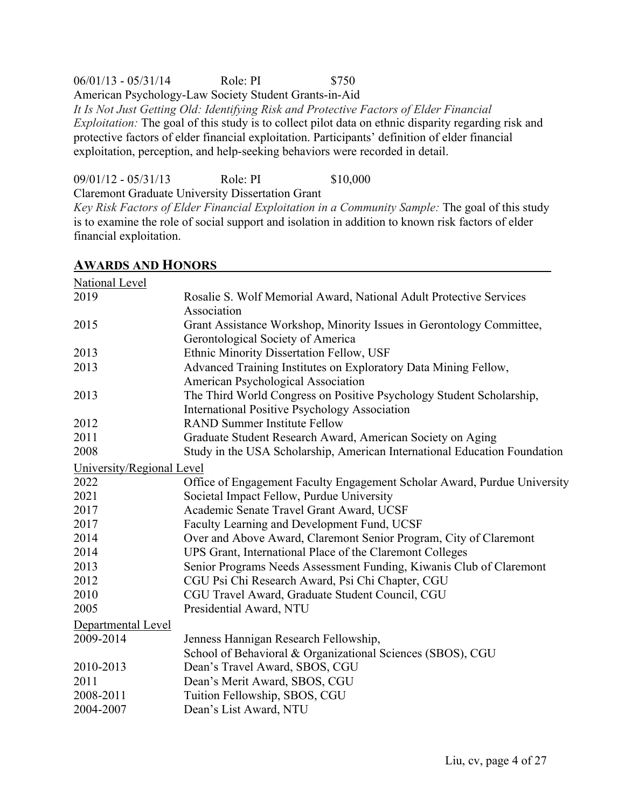#### 06/01/13 - 05/31/14 Role: PI \$750

American Psychology-Law Society Student Grants-in-Aid

*It Is Not Just Getting Old: Identifying Risk and Protective Factors of Elder Financial Exploitation:* The goal of this study is to collect pilot data on ethnic disparity regarding risk and protective factors of elder financial exploitation. Participants' definition of elder financial exploitation, perception, and help-seeking behaviors were recorded in detail.

09/01/12 - 05/31/13 Role: PI \$10,000

Claremont Graduate University Dissertation Grant

*Key Risk Factors of Elder Financial Exploitation in a Community Sample:* The goal of this study is to examine the role of social support and isolation in addition to known risk factors of elder financial exploitation.

| <b>National Level</b>     |                                                                                   |  |
|---------------------------|-----------------------------------------------------------------------------------|--|
| 2019                      | Rosalie S. Wolf Memorial Award, National Adult Protective Services<br>Association |  |
| 2015                      | Grant Assistance Workshop, Minority Issues in Gerontology Committee,              |  |
|                           | Gerontological Society of America                                                 |  |
| 2013                      | Ethnic Minority Dissertation Fellow, USF                                          |  |
| 2013                      | Advanced Training Institutes on Exploratory Data Mining Fellow,                   |  |
|                           | American Psychological Association                                                |  |
| 2013                      | The Third World Congress on Positive Psychology Student Scholarship,              |  |
|                           | <b>International Positive Psychology Association</b>                              |  |
| 2012                      | <b>RAND Summer Institute Fellow</b>                                               |  |
| 2011                      | Graduate Student Research Award, American Society on Aging                        |  |
| 2008                      | Study in the USA Scholarship, American International Education Foundation         |  |
| University/Regional Level |                                                                                   |  |
| 2022                      | Office of Engagement Faculty Engagement Scholar Award, Purdue University          |  |
| 2021                      | Societal Impact Fellow, Purdue University                                         |  |
| 2017                      | Academic Senate Travel Grant Award, UCSF                                          |  |
| 2017                      | Faculty Learning and Development Fund, UCSF                                       |  |
| 2014                      | Over and Above Award, Claremont Senior Program, City of Claremont                 |  |
| 2014                      | UPS Grant, International Place of the Claremont Colleges                          |  |
| 2013                      | Senior Programs Needs Assessment Funding, Kiwanis Club of Claremont               |  |
| 2012                      | CGU Psi Chi Research Award, Psi Chi Chapter, CGU                                  |  |
| 2010                      | CGU Travel Award, Graduate Student Council, CGU                                   |  |
| 2005                      | Presidential Award, NTU                                                           |  |
| Departmental Level        |                                                                                   |  |
| 2009-2014                 | Jenness Hannigan Research Fellowship,                                             |  |
|                           | School of Behavioral & Organizational Sciences (SBOS), CGU                        |  |
| 2010-2013                 | Dean's Travel Award, SBOS, CGU                                                    |  |
| 2011                      | Dean's Merit Award, SBOS, CGU                                                     |  |
| 2008-2011                 | Tuition Fellowship, SBOS, CGU                                                     |  |
| 2004-2007                 | Dean's List Award, NTU                                                            |  |
|                           |                                                                                   |  |

#### **AWARDS AND HONORS**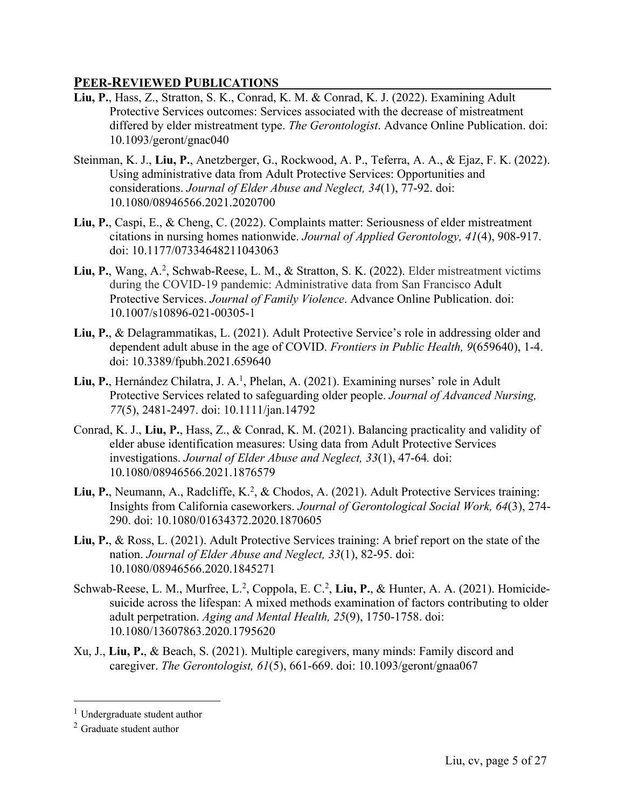### **PEER-REVIEWED PUBLICATIONS**

- **Liu, P.**, Hass, Z., Stratton, S. K., Conrad, K. M. & Conrad, K. J. (2022). Examining Adult Protective Services outcomes: Services associated with the decrease of mistreatment differed by elder mistreatment type. *The Gerontologist*. Advance Online Publication. doi: 10.1093/geront/gnac040
- Steinman, K. J., **Liu, P.**, Anetzberger, G., Rockwood, A. P., Teferra, A. A., & Ejaz, F. K. (2022). Using administrative data from Adult Protective Services: Opportunities and considerations. *Journal of Elder Abuse and Neglect, 34*(1), 77-92. doi: 10.1080/08946566.2021.2020700
- **Liu, P.**, Caspi, E., & Cheng, C. (2022). Complaints matter: Seriousness of elder mistreatment citations in nursing homes nationwide. *Journal of Applied Gerontology, 41*(4), 908-917. doi: 10.1177/07334648211043063
- Liu, P., Wang, A.<sup>2</sup>, Schwab-Reese, L. M., & Stratton, S. K. (2022). Elder mistreatment victims during the COVID-19 pandemic: Administrative data from San Francisco Adult Protective Services. *Journal of Family Violence*. Advance Online Publication. doi: 10.1007/s10896-021-00305-1
- **Liu, P.**, & Delagrammatikas, L. (2021). Adult Protective Service's role in addressing older and dependent adult abuse in the age of COVID. *Frontiers in Public Health, 9*(659640), 1-4. doi: 10.3389/fpubh.2021.659640
- Liu, P., Hernández Chilatra, J. A.<sup>1</sup>, Phelan, A. (2021). Examining nurses' role in Adult Protective Services related to safeguarding older people. *Journal of Advanced Nursing, 77*(5), 2481-2497. doi: 10.1111/jan.14792
- Conrad, K. J., **Liu, P.**, Hass, Z., & Conrad, K. M. (2021). Balancing practicality and validity of elder abuse identification measures: Using data from Adult Protective Services investigations. *Journal of Elder Abuse and Neglect, 33*(1), 47-64*.* doi: 10.1080/08946566.2021.1876579
- Liu, P., Neumann, A., Radcliffe, K.<sup>2</sup>, & Chodos, A. (2021). Adult Protective Services training: Insights from California caseworkers. *Journal of Gerontological Social Work, 64*(3), 274- 290. doi: 10.1080/01634372.2020.1870605
- **Liu, P.**, & Ross, L. (2021). Adult Protective Services training: A brief report on the state of the nation. *Journal of Elder Abuse and Neglect, 33*(1), 82-95. doi: 10.1080/08946566.2020.1845271
- Schwab-Reese, L. M., Murfree, L.<sup>2</sup>, Coppola, E. C.<sup>2</sup>, Liu, P., & Hunter, A. A. (2021). Homicidesuicide across the lifespan: A mixed methods examination of factors contributing to older adult perpetration. *Aging and Mental Health, 25*(9), 1750-1758. doi: 10.1080/13607863.2020.1795620
- Xu, J., **Liu, P.**, & Beach, S. (2021). Multiple caregivers, many minds: Family discord and caregiver. *The Gerontologist, 61*(5), 661-669. doi: 10.1093/geront/gnaa067

<sup>&</sup>lt;sup>1</sup> Undergraduate student author

<sup>2</sup> Graduate student author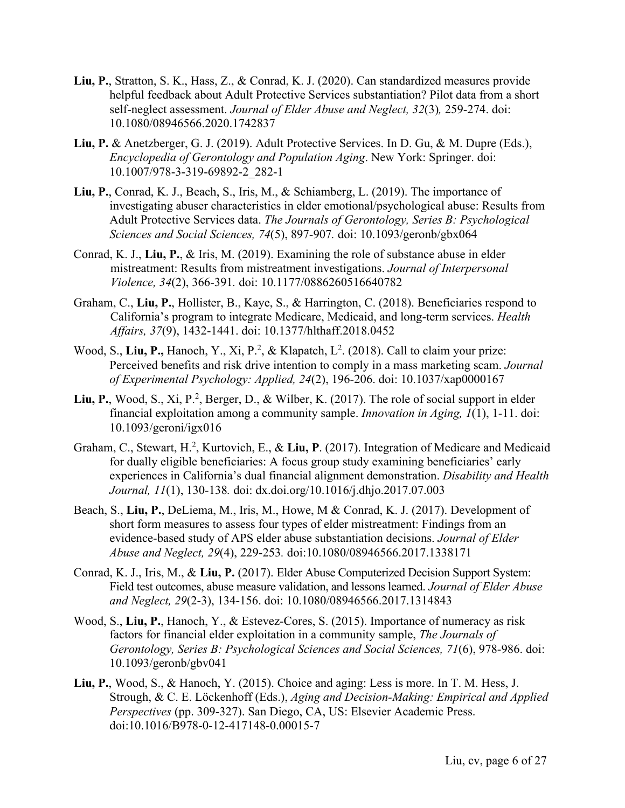- **Liu, P.**, Stratton, S. K., Hass, Z., & Conrad, K. J. (2020). Can standardized measures provide helpful feedback about Adult Protective Services substantiation? Pilot data from a short self-neglect assessment. *Journal of Elder Abuse and Neglect, 32*(3)*,* 259-274. doi: 10.1080/08946566.2020.1742837
- **Liu, P.** & Anetzberger, G. J. (2019). Adult Protective Services. In D. Gu, & M. Dupre (Eds.), *Encyclopedia of Gerontology and Population Aging*. New York: Springer. doi: 10.1007/978-3-319-69892-2\_282-1
- **Liu, P.**, Conrad, K. J., Beach, S., Iris, M., & Schiamberg, L. (2019). The importance of investigating abuser characteristics in elder emotional/psychological abuse: Results from Adult Protective Services data. *The Journals of Gerontology, Series B: Psychological Sciences and Social Sciences, 74*(5), 897-907*.* doi: 10.1093/geronb/gbx064
- Conrad, K. J., **Liu, P.**, & Iris, M. (2019). Examining the role of substance abuse in elder mistreatment: Results from mistreatment investigations. *Journal of Interpersonal Violence, 34*(2), 366-391*.* doi: 10.1177/0886260516640782
- Graham, C., **Liu, P.**, Hollister, B., Kaye, S., & Harrington, C. (2018). Beneficiaries respond to California's program to integrate Medicare, Medicaid, and long-term services. *Health Affairs, 37*(9), 1432-1441. doi: 10.1377/hlthaff.2018.0452
- Wood, S., Liu, P., Hanoch, Y., Xi, P.<sup>2</sup>, & Klapatch, L<sup>2</sup>. (2018). Call to claim your prize: Perceived benefits and risk drive intention to comply in a mass marketing scam. *Journal of Experimental Psychology: Applied, 24*(2), 196-206. doi: 10.1037/xap0000167
- Liu, P., Wood, S., Xi, P.<sup>2</sup>, Berger, D., & Wilber, K. (2017). The role of social support in elder financial exploitation among a community sample. *Innovation in Aging, 1*(1), 1-11. doi: 10.1093/geroni/igx016
- Graham, C., Stewart, H.<sup>2</sup>, Kurtovich, E., & Liu, P. (2017). Integration of Medicare and Medicaid for dually eligible beneficiaries: A focus group study examining beneficiaries' early experiences in California's dual financial alignment demonstration. *Disability and Health Journal, 11*(1), 130-138*.* doi: dx.doi.org/10.1016/j.dhjo.2017.07.003
- Beach, S., **Liu, P.**, DeLiema, M., Iris, M., Howe, M & Conrad, K. J. (2017). Development of short form measures to assess four types of elder mistreatment: Findings from an evidence-based study of APS elder abuse substantiation decisions. *Journal of Elder Abuse and Neglect, 29*(4), 229-253*.* doi:10.1080/08946566.2017.1338171
- Conrad, K. J., Iris, M., & **Liu, P.** (2017). Elder Abuse Computerized Decision Support System: Field test outcomes, abuse measure validation, and lessons learned. *Journal of Elder Abuse and Neglect, 29*(2-3), 134-156. doi: 10.1080/08946566.2017.1314843
- Wood, S., **Liu, P.**, Hanoch, Y., & Estevez-Cores, S. (2015). Importance of numeracy as risk factors for financial elder exploitation in a community sample, *The Journals of Gerontology, Series B: Psychological Sciences and Social Sciences, 71*(6), 978-986. doi: 10.1093/geronb/gbv041
- **Liu, P.**, Wood, S., & Hanoch, Y. (2015). Choice and aging: Less is more. In T. M. Hess, J. Strough, & C. E. Löckenhoff (Eds.), *Aging and Decision-Making: Empirical and Applied Perspectives* (pp. 309-327). San Diego, CA, US: Elsevier Academic Press. doi:10.1016/B978-0-12-417148-0.00015-7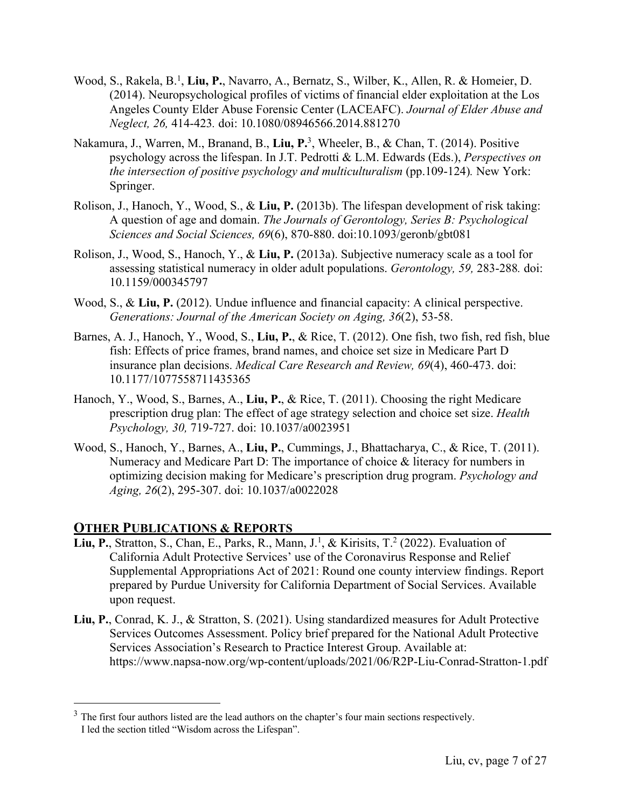- Wood, S., Rakela, B.<sup>1</sup>, Liu, P., Navarro, A., Bernatz, S., Wilber, K., Allen, R. & Homeier, D. (2014). Neuropsychological profiles of victims of financial elder exploitation at the Los Angeles County Elder Abuse Forensic Center (LACEAFC). *Journal of Elder Abuse and Neglect, 26,* 414-423*.* doi: 10.1080/08946566.2014.881270
- Nakamura, J., Warren, M., Branand, B., **Liu, P.**3, Wheeler, B., & Chan, T. (2014). Positive psychology across the lifespan. In J.T. Pedrotti & L.M. Edwards (Eds.), *Perspectives on the intersection of positive psychology and multiculturalism* (pp.109-124)*.* New York: Springer.
- Rolison, J., Hanoch, Y., Wood, S., & **Liu, P.** (2013b). The lifespan development of risk taking: A question of age and domain. *The Journals of Gerontology, Series B: Psychological Sciences and Social Sciences, 69*(6), 870-880. doi:10.1093/geronb/gbt081
- Rolison, J., Wood, S., Hanoch, Y., & **Liu, P.** (2013a). Subjective numeracy scale as a tool for assessing statistical numeracy in older adult populations. *Gerontology, 59,* 283-288*.* doi: 10.1159/000345797
- Wood, S., & **Liu, P.** (2012). Undue influence and financial capacity: A clinical perspective. *Generations: Journal of the American Society on Aging, 36*(2), 53-58.
- Barnes, A. J., Hanoch, Y., Wood, S., **Liu, P.**, & Rice, T. (2012). One fish, two fish, red fish, blue fish: Effects of price frames, brand names, and choice set size in Medicare Part D insurance plan decisions. *Medical Care Research and Review, 69*(4), 460-473. doi: 10.1177/1077558711435365
- Hanoch, Y., Wood, S., Barnes, A., **Liu, P.**, & Rice, T. (2011). Choosing the right Medicare prescription drug plan: The effect of age strategy selection and choice set size. *Health Psychology, 30,* 719-727. doi: 10.1037/a0023951
- Wood, S., Hanoch, Y., Barnes, A., **Liu, P.**, Cummings, J., Bhattacharya, C., & Rice, T. (2011). Numeracy and Medicare Part D: The importance of choice & literacy for numbers in optimizing decision making for Medicare's prescription drug program. *Psychology and Aging, 26*(2), 295-307. doi: 10.1037/a0022028

#### **OTHER PUBLICATIONS & REPORTS**

- Liu, P., Stratton, S., Chan, E., Parks, R., Mann, J.<sup>1</sup>, & Kirisits, T.<sup>2</sup> (2022). Evaluation of California Adult Protective Services' use of the Coronavirus Response and Relief Supplemental Appropriations Act of 2021: Round one county interview findings. Report prepared by Purdue University for California Department of Social Services. Available upon request.
- **Liu, P.**, Conrad, K. J., & Stratton, S. (2021). Using standardized measures for Adult Protective Services Outcomes Assessment. Policy brief prepared for the National Adult Protective Services Association's Research to Practice Interest Group. Available at: https://www.napsa-now.org/wp-content/uploads/2021/06/R2P-Liu-Conrad-Stratton-1.pdf

 $3$  The first four authors listed are the lead authors on the chapter's four main sections respectively. I led the section titled "Wisdom across the Lifespan".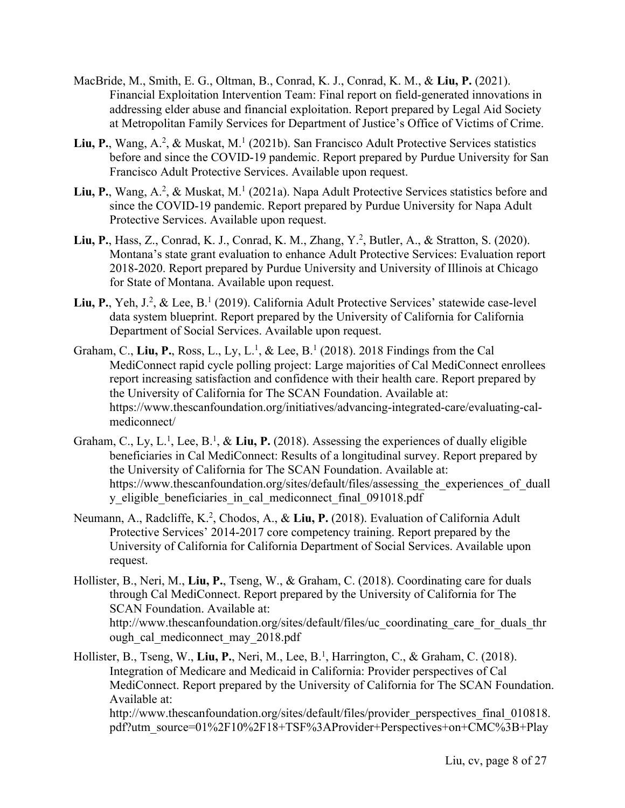- MacBride, M., Smith, E. G., Oltman, B., Conrad, K. J., Conrad, K. M., & **Liu, P.** (2021). Financial Exploitation Intervention Team: Final report on field-generated innovations in addressing elder abuse and financial exploitation. Report prepared by Legal Aid Society at Metropolitan Family Services for Department of Justice's Office of Victims of Crime.
- Liu, P., Wang, A.<sup>2</sup>, & Muskat, M.<sup>1</sup> (2021b). San Francisco Adult Protective Services statistics before and since the COVID-19 pandemic. Report prepared by Purdue University for San Francisco Adult Protective Services. Available upon request.
- Liu, P., Wang, A.<sup>2</sup>, & Muskat, M.<sup>1</sup> (2021a). Napa Adult Protective Services statistics before and since the COVID-19 pandemic. Report prepared by Purdue University for Napa Adult Protective Services. Available upon request.
- **Liu, P.**, Hass, Z., Conrad, K. J., Conrad, K. M., Zhang, Y.2 , Butler, A., & Stratton, S. (2020). Montana's state grant evaluation to enhance Adult Protective Services: Evaluation report 2018-2020. Report prepared by Purdue University and University of Illinois at Chicago for State of Montana. Available upon request.
- Liu, P., Yeh, J.<sup>2</sup>, & Lee, B.<sup>1</sup> (2019). California Adult Protective Services' statewide case-level data system blueprint. Report prepared by the University of California for California Department of Social Services. Available upon request.
- Graham, C., Liu, P., Ross, L., Ly, L.<sup>1</sup>, & Lee, B.<sup>1</sup> (2018). 2018 Findings from the Cal MediConnect rapid cycle polling project: Large majorities of Cal MediConnect enrollees report increasing satisfaction and confidence with their health care. Report prepared by the University of California for The SCAN Foundation. Available at: https://www.thescanfoundation.org/initiatives/advancing-integrated-care/evaluating-calmediconnect/
- Graham, C., Ly, L.<sup>1</sup>, Lee, B.<sup>1</sup>, & Liu, P. (2018). Assessing the experiences of dually eligible beneficiaries in Cal MediConnect: Results of a longitudinal survey. Report prepared by the University of California for The SCAN Foundation. Available at: https://www.thescanfoundation.org/sites/default/files/assessing the experiences of duall y eligible beneficiaries in cal mediconnect final 091018.pdf
- Neumann, A., Radcliffe, K.<sup>2</sup>, Chodos, A., & Liu, P. (2018). Evaluation of California Adult Protective Services' 2014-2017 core competency training. Report prepared by the University of California for California Department of Social Services. Available upon request.
- Hollister, B., Neri, M., **Liu, P.**, Tseng, W., & Graham, C. (2018). Coordinating care for duals through Cal MediConnect. Report prepared by the University of California for The SCAN Foundation. Available at: http://www.thescanfoundation.org/sites/default/files/uc\_coordinating\_care\_for\_duals\_thr ough cal mediconnect may 2018.pdf
- Hollister, B., Tseng, W., **Liu, P.**, Neri, M., Lee, B.1 , Harrington, C., & Graham, C. (2018). Integration of Medicare and Medicaid in California: Provider perspectives of Cal MediConnect. Report prepared by the University of California for The SCAN Foundation. Available at:

http://www.thescanfoundation.org/sites/default/files/provider\_perspectives\_final\_010818. pdf?utm\_source=01%2F10%2F18+TSF%3AProvider+Perspectives+on+CMC%3B+Play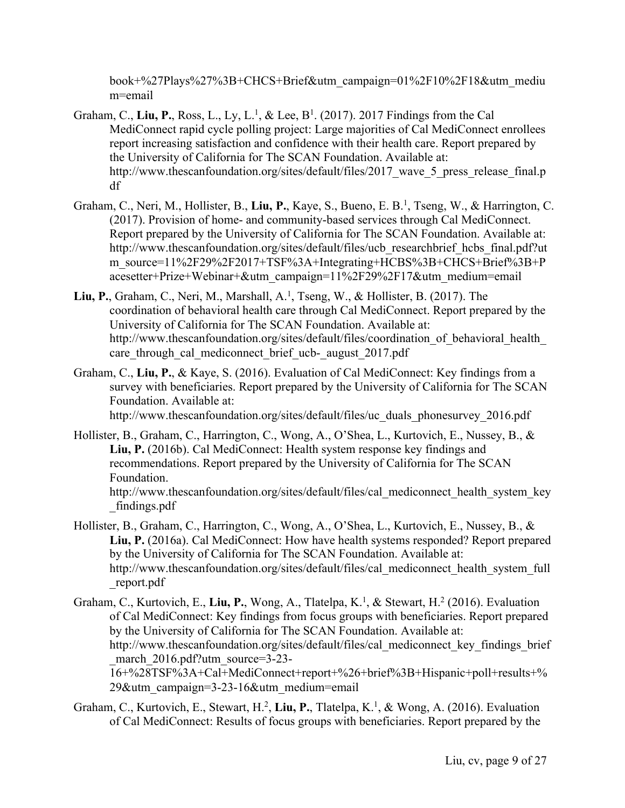book+%27Plays%27%3B+CHCS+Brief&utm\_campaign=01%2F10%2F18&utm\_mediu m=email

- Graham, C., Liu, P., Ross, L., Ly, L.<sup>1</sup>, & Lee, B<sup>1</sup>. (2017). 2017 Findings from the Cal MediConnect rapid cycle polling project: Large majorities of Cal MediConnect enrollees report increasing satisfaction and confidence with their health care. Report prepared by the University of California for The SCAN Foundation. Available at: http://www.thescanfoundation.org/sites/default/files/2017 wave 5 press release final.p df
- Graham, C., Neri, M., Hollister, B., Liu, P., Kaye, S., Bueno, E. B.<sup>1</sup>, Tseng, W., & Harrington, C. (2017). Provision of home- and community-based services through Cal MediConnect. Report prepared by the University of California for The SCAN Foundation. Available at: http://www.thescanfoundation.org/sites/default/files/ucb\_researchbrief\_hcbs\_final.pdf?ut m\_source=11%2F29%2F2017+TSF%3A+Integrating+HCBS%3B+CHCS+Brief%3B+P acesetter+Prize+Webinar+&utm\_campaign=11%2F29%2F17&utm\_medium=email
- **Liu, P.**, Graham, C., Neri, M., Marshall, A. 1 , Tseng, W., & Hollister, B. (2017). The coordination of behavioral health care through Cal MediConnect. Report prepared by the University of California for The SCAN Foundation. Available at: http://www.thescanfoundation.org/sites/default/files/coordination of behavioral health care through cal mediconnect brief ucb- august 2017.pdf
- Graham, C., **Liu, P.**, & Kaye, S. (2016). Evaluation of Cal MediConnect: Key findings from a survey with beneficiaries. Report prepared by the University of California for The SCAN Foundation. Available at:

http://www.thescanfoundation.org/sites/default/files/uc\_duals\_phonesurvey\_2016.pdf

- Hollister, B., Graham, C., Harrington, C., Wong, A., O'Shea, L., Kurtovich, E., Nussey, B., & **Liu, P.** (2016b). Cal MediConnect: Health system response key findings and recommendations. Report prepared by the University of California for The SCAN Foundation. http://www.thescanfoundation.org/sites/default/files/cal\_mediconnect\_health\_system\_key \_findings.pdf
- Hollister, B., Graham, C., Harrington, C., Wong, A., O'Shea, L., Kurtovich, E., Nussey, B., & **Liu, P.** (2016a). Cal MediConnect: How have health systems responded? Report prepared by the University of California for The SCAN Foundation. Available at: http://www.thescanfoundation.org/sites/default/files/cal\_mediconnect\_health\_system\_full \_report.pdf
- Graham, C., Kurtovich, E., Liu, P., Wong, A., Tlatelpa, K.<sup>1</sup>, & Stewart, H.<sup>2</sup> (2016). Evaluation of Cal MediConnect: Key findings from focus groups with beneficiaries. Report prepared by the University of California for The SCAN Foundation. Available at: http://www.thescanfoundation.org/sites/default/files/cal\_mediconnect\_key\_findings\_brief march 2016.pdf?utm\_source=3-23-16+%28TSF%3A+Cal+MediConnect+report+%26+brief%3B+Hispanic+poll+results+% 29&utm\_campaign=3-23-16&utm\_medium=email
- Graham, C., Kurtovich, E., Stewart, H.<sup>2</sup>, Liu, P., Tlatelpa, K.<sup>1</sup>, & Wong, A. (2016). Evaluation of Cal MediConnect: Results of focus groups with beneficiaries. Report prepared by the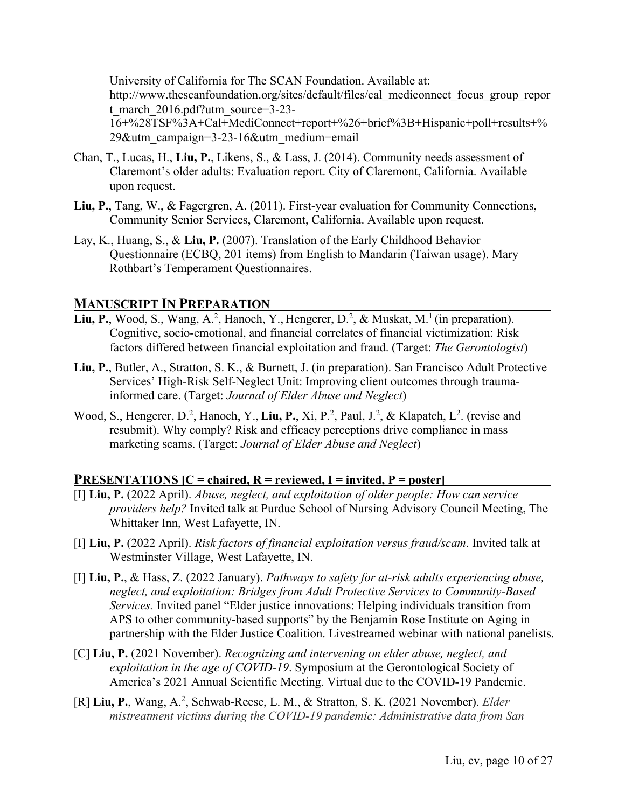University of California for The SCAN Foundation. Available at: http://www.thescanfoundation.org/sites/default/files/cal\_mediconnect\_focus\_group\_repor t\_march\_2016.pdf?utm\_source=3-23-16+%28TSF%3A+Cal+MediConnect+report+%26+brief%3B+Hispanic+poll+results+%

29&utm\_campaign=3-23-16&utm\_medium=email

- Chan, T., Lucas, H., **Liu, P.**, Likens, S., & Lass, J. (2014). Community needs assessment of Claremont's older adults: Evaluation report. City of Claremont, California. Available upon request.
- **Liu, P.**, Tang, W., & Fagergren, A. (2011). First-year evaluation for Community Connections, Community Senior Services, Claremont, California. Available upon request.
- Lay, K., Huang, S., & **Liu, P.** (2007). Translation of the Early Childhood Behavior Questionnaire (ECBQ, 201 items) from English to Mandarin (Taiwan usage). Mary Rothbart's Temperament Questionnaires.

#### **MANUSCRIPT IN PREPARATION**

- Liu, P., Wood, S., Wang, A.<sup>2</sup>, Hanoch, Y., Hengerer, D.<sup>2</sup>, & Muskat, M.<sup>1</sup> (in preparation). Cognitive, socio-emotional, and financial correlates of financial victimization: Risk factors differed between financial exploitation and fraud. (Target: *The Gerontologist*)
- **Liu, P.**, Butler, A., Stratton, S. K., & Burnett, J. (in preparation). San Francisco Adult Protective Services' High-Risk Self-Neglect Unit: Improving client outcomes through traumainformed care. (Target: *Journal of Elder Abuse and Neglect*)
- Wood, S., Hengerer, D.<sup>2</sup>, Hanoch, Y., Liu, P., Xi, P.<sup>2</sup>, Paul, J.<sup>2</sup>, & Klapatch, L<sup>2</sup>. (revise and resubmit). Why comply? Risk and efficacy perceptions drive compliance in mass marketing scams. (Target: *Journal of Elder Abuse and Neglect*)

#### **PRESENTATIONS [C = chaired, R = reviewed, I = invited, P = poster]**

- [I] **Liu, P.** (2022 April). *Abuse, neglect, and exploitation of older people: How can service providers help?* Invited talk at Purdue School of Nursing Advisory Council Meeting, The Whittaker Inn, West Lafayette, IN.
- [I] **Liu, P.** (2022 April). *Risk factors of financial exploitation versus fraud/scam*. Invited talk at Westminster Village, West Lafayette, IN.
- [I] **Liu, P.**, & Hass, Z. (2022 January). *Pathways to safety for at-risk adults experiencing abuse, neglect, and exploitation: Bridges from Adult Protective Services to Community-Based Services.* Invited panel "Elder justice innovations: Helping individuals transition from APS to other community-based supports" by the Benjamin Rose Institute on Aging in partnership with the Elder Justice Coalition. Livestreamed webinar with national panelists.
- [C] **Liu, P.** (2021 November). *Recognizing and intervening on elder abuse, neglect, and exploitation in the age of COVID-19*. Symposium at the Gerontological Society of America's 2021 Annual Scientific Meeting. Virtual due to the COVID-19 Pandemic.
- [R] Liu, P., Wang, A.<sup>2</sup>, Schwab-Reese, L. M., & Stratton, S. K. (2021 November). *Elder mistreatment victims during the COVID-19 pandemic: Administrative data from San*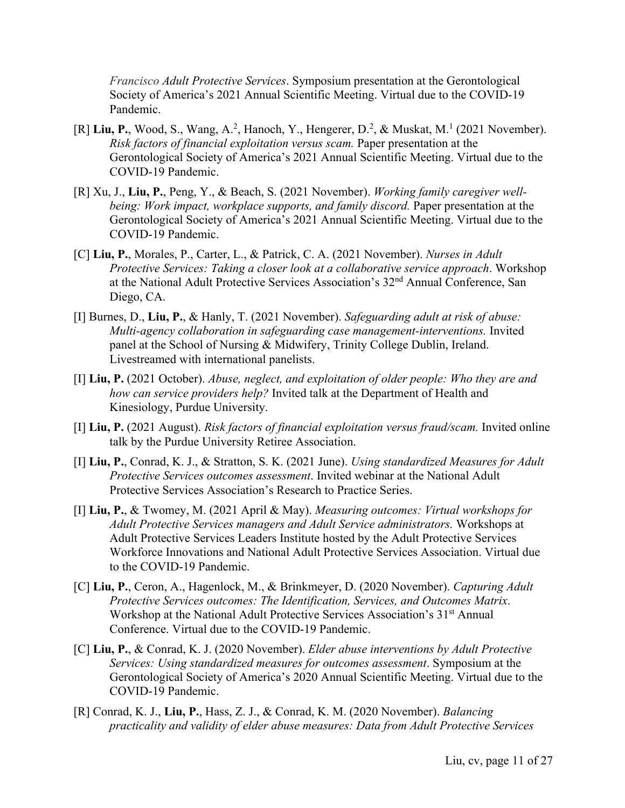*Francisco Adult Protective Services*. Symposium presentation at the Gerontological Society of America's 2021 Annual Scientific Meeting. Virtual due to the COVID-19 Pandemic.

- [R] Liu, P., Wood, S., Wang, A.<sup>2</sup>, Hanoch, Y., Hengerer, D.<sup>2</sup>, & Muskat, M.<sup>1</sup> (2021 November). *Risk factors of financial exploitation versus scam.* Paper presentation at the Gerontological Society of America's 2021 Annual Scientific Meeting. Virtual due to the COVID-19 Pandemic.
- [R] Xu, J., **Liu, P.**, Peng, Y., & Beach, S. (2021 November). *Working family caregiver wellbeing: Work impact, workplace supports, and family discord.* Paper presentation at the Gerontological Society of America's 2021 Annual Scientific Meeting. Virtual due to the COVID-19 Pandemic.
- [C] **Liu, P.**, Morales, P., Carter, L., & Patrick, C. A. (2021 November). *Nurses in Adult Protective Services: Taking a closer look at a collaborative service approach*. Workshop at the National Adult Protective Services Association's 32nd Annual Conference, San Diego, CA.
- [I] Burnes, D., **Liu, P.**, & Hanly, T. (2021 November). *Safeguarding adult at risk of abuse: Multi-agency collaboration in safeguarding case management-interventions.* Invited panel at the School of Nursing & Midwifery, Trinity College Dublin, Ireland. Livestreamed with international panelists.
- [I] **Liu, P.** (2021 October). *Abuse, neglect, and exploitation of older people: Who they are and how can service providers help?* Invited talk at the Department of Health and Kinesiology, Purdue University.
- [I] **Liu, P.** (2021 August). *Risk factors of financial exploitation versus fraud/scam.* Invited online talk by the Purdue University Retiree Association.
- [I] **Liu, P.**, Conrad, K. J., & Stratton, S. K. (2021 June). *Using standardized Measures for Adult Protective Services outcomes assessment*. Invited webinar at the National Adult Protective Services Association's Research to Practice Series.
- [I] **Liu, P.**, & Twomey, M. (2021 April & May). *Measuring outcomes: Virtual workshops for Adult Protective Services managers and Adult Service administrators.* Workshops at Adult Protective Services Leaders Institute hosted by the Adult Protective Services Workforce Innovations and National Adult Protective Services Association. Virtual due to the COVID-19 Pandemic.
- [C] **Liu, P.**, Ceron, A., Hagenlock, M., & Brinkmeyer, D. (2020 November). *Capturing Adult Protective Services outcomes: The Identification, Services, and Outcomes Matrix*. Workshop at the National Adult Protective Services Association's 31<sup>st</sup> Annual Conference. Virtual due to the COVID-19 Pandemic.
- [C] **Liu, P.**, & Conrad, K. J. (2020 November). *Elder abuse interventions by Adult Protective Services: Using standardized measures for outcomes assessment*. Symposium at the Gerontological Society of America's 2020 Annual Scientific Meeting. Virtual due to the COVID-19 Pandemic.
- [R] Conrad, K. J., **Liu, P.**, Hass, Z. J., & Conrad, K. M. (2020 November). *Balancing practicality and validity of elder abuse measures: Data from Adult Protective Services*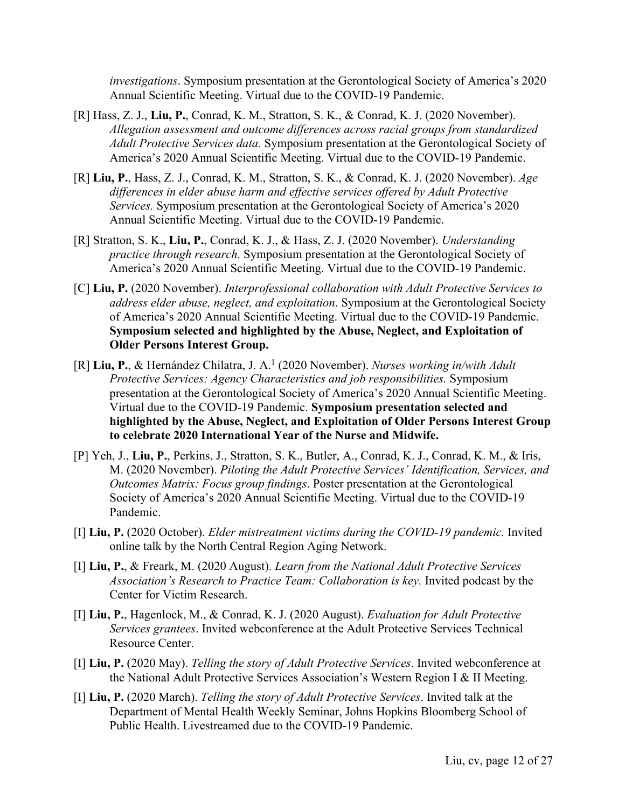*investigations*. Symposium presentation at the Gerontological Society of America's 2020 Annual Scientific Meeting. Virtual due to the COVID-19 Pandemic.

- [R] Hass, Z. J., **Liu, P.**, Conrad, K. M., Stratton, S. K., & Conrad, K. J. (2020 November). *Allegation assessment and outcome differences across racial groups from standardized Adult Protective Services data.* Symposium presentation at the Gerontological Society of America's 2020 Annual Scientific Meeting. Virtual due to the COVID-19 Pandemic.
- [R] **Liu, P.**, Hass, Z. J., Conrad, K. M., Stratton, S. K., & Conrad, K. J. (2020 November). *Age differences in elder abuse harm and effective services offered by Adult Protective Services.* Symposium presentation at the Gerontological Society of America's 2020 Annual Scientific Meeting. Virtual due to the COVID-19 Pandemic.
- [R] Stratton, S. K., **Liu, P.**, Conrad, K. J., & Hass, Z. J. (2020 November). *Understanding practice through research.* Symposium presentation at the Gerontological Society of America's 2020 Annual Scientific Meeting. Virtual due to the COVID-19 Pandemic.
- [C] **Liu, P.** (2020 November). *Interprofessional collaboration with Adult Protective Services to address elder abuse, neglect, and exploitation*. Symposium at the Gerontological Society of America's 2020 Annual Scientific Meeting. Virtual due to the COVID-19 Pandemic. **Symposium selected and highlighted by the Abuse, Neglect, and Exploitation of Older Persons Interest Group.**
- [R] **Liu, P.**, & Hernández Chilatra, J. A.1 (2020 November). *Nurses working in/with Adult Protective Services: Agency Characteristics and job responsibilities.* Symposium presentation at the Gerontological Society of America's 2020 Annual Scientific Meeting. Virtual due to the COVID-19 Pandemic. **Symposium presentation selected and highlighted by the Abuse, Neglect, and Exploitation of Older Persons Interest Group to celebrate 2020 International Year of the Nurse and Midwife.**
- [P] Yeh, J., **Liu, P.**, Perkins, J., Stratton, S. K., Butler, A., Conrad, K. J., Conrad, K. M., & Iris, M. (2020 November). *Piloting the Adult Protective Services' Identification, Services, and Outcomes Matrix: Focus group findings*. Poster presentation at the Gerontological Society of America's 2020 Annual Scientific Meeting. Virtual due to the COVID-19 Pandemic.
- [I] **Liu, P.** (2020 October). *Elder mistreatment victims during the COVID-19 pandemic.* Invited online talk by the North Central Region Aging Network.
- [I] **Liu, P.**, & Freark, M. (2020 August). *Learn from the National Adult Protective Services Association's Research to Practice Team: Collaboration is key.* Invited podcast by the Center for Victim Research.
- [I] **Liu, P.**, Hagenlock, M., & Conrad, K. J. (2020 August). *Evaluation for Adult Protective Services grantees*. Invited webconference at the Adult Protective Services Technical Resource Center.
- [I] **Liu, P.** (2020 May). *Telling the story of Adult Protective Services*. Invited webconference at the National Adult Protective Services Association's Western Region I & II Meeting.
- [I] **Liu, P.** (2020 March). *Telling the story of Adult Protective Services*. Invited talk at the Department of Mental Health Weekly Seminar, Johns Hopkins Bloomberg School of Public Health. Livestreamed due to the COVID-19 Pandemic.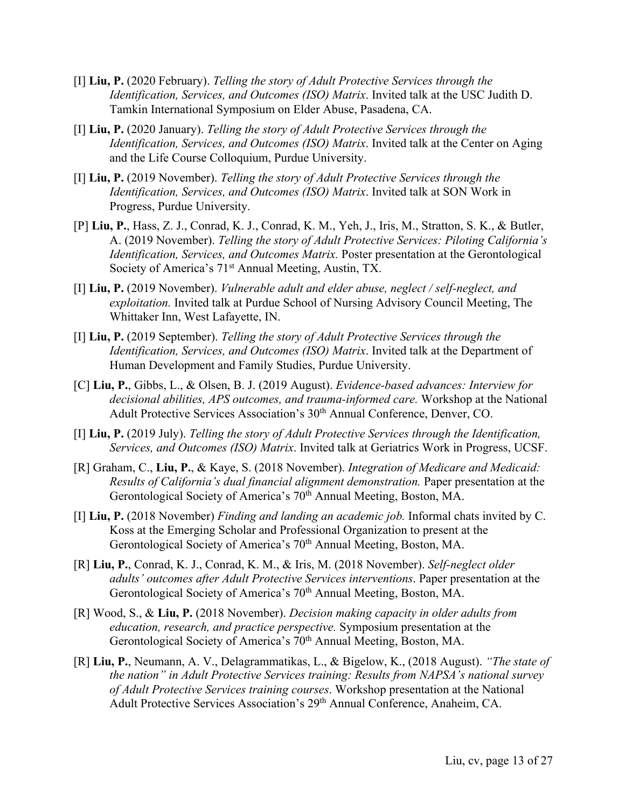- [I] **Liu, P.** (2020 February). *Telling the story of Adult Protective Services through the Identification, Services, and Outcomes (ISO) Matrix*. Invited talk at the USC Judith D. Tamkin International Symposium on Elder Abuse, Pasadena, CA.
- [I] **Liu, P.** (2020 January). *Telling the story of Adult Protective Services through the Identification, Services, and Outcomes (ISO) Matrix*. Invited talk at the Center on Aging and the Life Course Colloquium, Purdue University.
- [I] **Liu, P.** (2019 November). *Telling the story of Adult Protective Services through the Identification, Services, and Outcomes (ISO) Matrix*. Invited talk at SON Work in Progress, Purdue University.
- [P] **Liu, P.**, Hass, Z. J., Conrad, K. J., Conrad, K. M., Yeh, J., Iris, M., Stratton, S. K., & Butler, A. (2019 November). *Telling the story of Adult Protective Services: Piloting California's Identification, Services, and Outcomes Matrix.* Poster presentation at the Gerontological Society of America's 71<sup>st</sup> Annual Meeting, Austin, TX.
- [I] **Liu, P.** (2019 November). *Vulnerable adult and elder abuse, neglect / self-neglect, and exploitation.* Invited talk at Purdue School of Nursing Advisory Council Meeting, The Whittaker Inn, West Lafayette, IN.
- [I] **Liu, P.** (2019 September). *Telling the story of Adult Protective Services through the Identification, Services, and Outcomes (ISO) Matrix*. Invited talk at the Department of Human Development and Family Studies, Purdue University.
- [C] **Liu, P.**, Gibbs, L., & Olsen, B. J. (2019 August). *Evidence-based advances: Interview for decisional abilities, APS outcomes, and trauma-informed care.* Workshop at the National Adult Protective Services Association's 30<sup>th</sup> Annual Conference, Denver, CO.
- [I] **Liu, P.** (2019 July). *Telling the story of Adult Protective Services through the Identification, Services, and Outcomes (ISO) Matrix*. Invited talk at Geriatrics Work in Progress, UCSF.
- [R] Graham, C., **Liu, P.**, & Kaye, S. (2018 November). *Integration of Medicare and Medicaid: Results of California's dual financial alignment demonstration.* Paper presentation at the Gerontological Society of America's 70<sup>th</sup> Annual Meeting, Boston, MA.
- [I] **Liu, P.** (2018 November) *Finding and landing an academic job.* Informal chats invited by C. Koss at the Emerging Scholar and Professional Organization to present at the Gerontological Society of America's 70<sup>th</sup> Annual Meeting, Boston, MA.
- [R] **Liu, P.**, Conrad, K. J., Conrad, K. M., & Iris, M. (2018 November). *Self-neglect older adults' outcomes after Adult Protective Services interventions*. Paper presentation at the Gerontological Society of America's 70<sup>th</sup> Annual Meeting, Boston, MA.
- [R] Wood, S., & **Liu, P.** (2018 November). *Decision making capacity in older adults from education, research, and practice perspective.* Symposium presentation at the Gerontological Society of America's 70<sup>th</sup> Annual Meeting, Boston, MA.
- [R] **Liu, P.**, Neumann, A. V., Delagrammatikas, L., & Bigelow, K., (2018 August). *"The state of the nation" in Adult Protective Services training: Results from NAPSA's national survey of Adult Protective Services training courses*. Workshop presentation at the National Adult Protective Services Association's 29<sup>th</sup> Annual Conference, Anaheim, CA.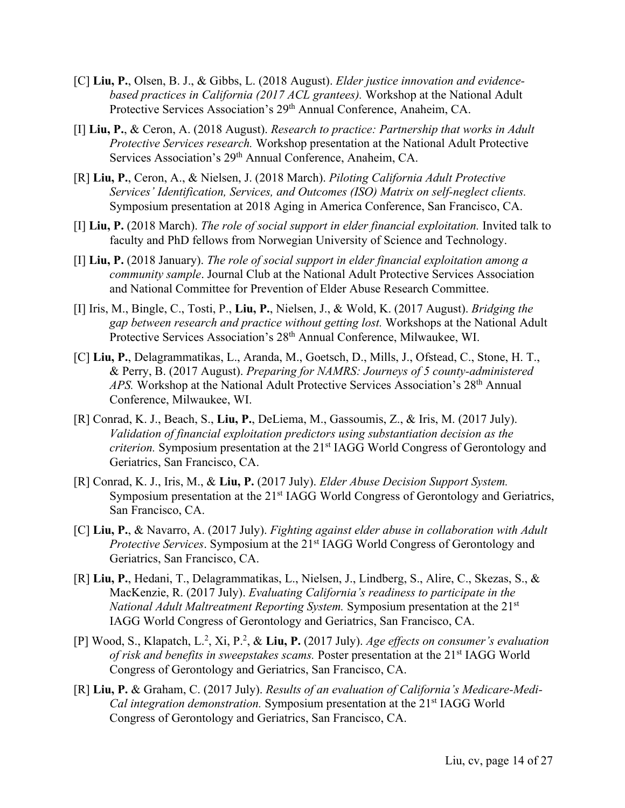- [C] **Liu, P.**, Olsen, B. J., & Gibbs, L. (2018 August). *Elder justice innovation and evidencebased practices in California (2017 ACL grantees).* Workshop at the National Adult Protective Services Association's 29<sup>th</sup> Annual Conference, Anaheim, CA.
- [I] **Liu, P.**, & Ceron, A. (2018 August). *Research to practice: Partnership that works in Adult Protective Services research.* Workshop presentation at the National Adult Protective Services Association's 29th Annual Conference, Anaheim, CA.
- [R] **Liu, P.**, Ceron, A., & Nielsen, J. (2018 March). *Piloting California Adult Protective Services' Identification, Services, and Outcomes (ISO) Matrix on self-neglect clients.*  Symposium presentation at 2018 Aging in America Conference, San Francisco, CA.
- [I] **Liu, P.** (2018 March). *The role of social support in elder financial exploitation.* Invited talk to faculty and PhD fellows from Norwegian University of Science and Technology.
- [I] **Liu, P.** (2018 January). *The role of social support in elder financial exploitation among a community sample*. Journal Club at the National Adult Protective Services Association and National Committee for Prevention of Elder Abuse Research Committee.
- [I] Iris, M., Bingle, C., Tosti, P., **Liu, P.**, Nielsen, J., & Wold, K. (2017 August). *Bridging the gap between research and practice without getting lost.* Workshops at the National Adult Protective Services Association's 28th Annual Conference, Milwaukee, WI.
- [C] **Liu, P.**, Delagrammatikas, L., Aranda, M., Goetsch, D., Mills, J., Ofstead, C., Stone, H. T., & Perry, B. (2017 August). *Preparing for NAMRS: Journeys of 5 county-administered APS.* Workshop at the National Adult Protective Services Association's 28th Annual Conference, Milwaukee, WI.
- [R] Conrad, K. J., Beach, S., **Liu, P.**, DeLiema, M., Gassoumis, Z., & Iris, M. (2017 July). *Validation of financial exploitation predictors using substantiation decision as the criterion.* Symposium presentation at the 21<sup>st</sup> IAGG World Congress of Gerontology and Geriatrics, San Francisco, CA.
- [R] Conrad, K. J., Iris, M., & **Liu, P.** (2017 July). *Elder Abuse Decision Support System.* Symposium presentation at the 21<sup>st</sup> IAGG World Congress of Gerontology and Geriatrics, San Francisco, CA.
- [C] **Liu, P.**, & Navarro, A. (2017 July). *Fighting against elder abuse in collaboration with Adult Protective Services*. Symposium at the 21<sup>st</sup> IAGG World Congress of Gerontology and Geriatrics, San Francisco, CA.
- [R] **Liu, P.**, Hedani, T., Delagrammatikas, L., Nielsen, J., Lindberg, S., Alire, C., Skezas, S., & MacKenzie, R. (2017 July). *Evaluating California's readiness to participate in the National Adult Maltreatment Reporting System.* Symposium presentation at the 21st IAGG World Congress of Gerontology and Geriatrics, San Francisco, CA.
- [P] Wood, S., Klapatch, L.2 , Xi, P.2 , & **Liu, P.** (2017 July). *Age effects on consumer's evaluation of risk and benefits in sweepstakes scams.* Poster presentation at the 21<sup>st</sup> IAGG World Congress of Gerontology and Geriatrics, San Francisco, CA.
- [R] **Liu, P.** & Graham, C. (2017 July). *Results of an evaluation of California's Medicare-Medi-Cal integration demonstration.* Symposium presentation at the 21<sup>st</sup> IAGG World Congress of Gerontology and Geriatrics, San Francisco, CA.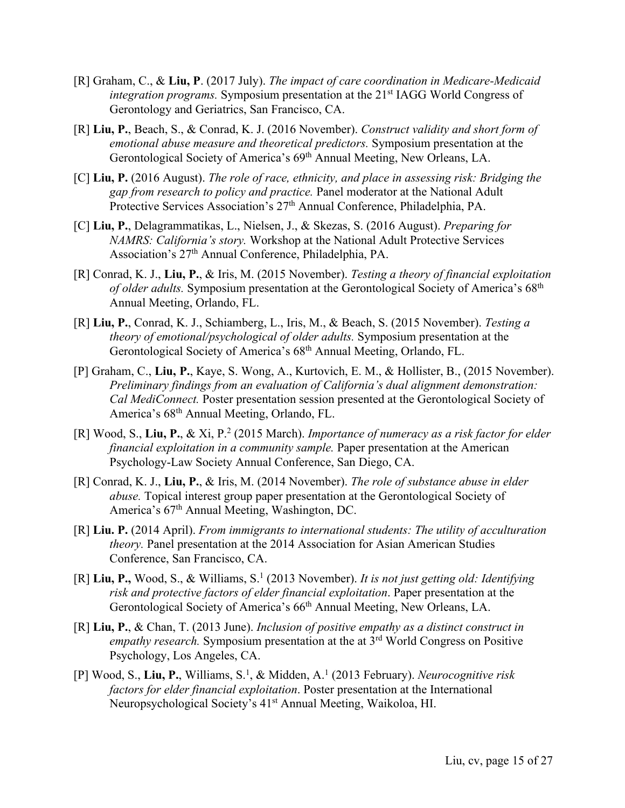- [R] Graham, C., & **Liu, P**. (2017 July). *The impact of care coordination in Medicare-Medicaid integration programs.* Symposium presentation at the 21<sup>st</sup> IAGG World Congress of Gerontology and Geriatrics, San Francisco, CA.
- [R] **Liu, P.**, Beach, S., & Conrad, K. J. (2016 November). *Construct validity and short form of emotional abuse measure and theoretical predictors.* Symposium presentation at the Gerontological Society of America's 69th Annual Meeting, New Orleans, LA.
- [C] **Liu, P.** (2016 August). *The role of race, ethnicity, and place in assessing risk: Bridging the gap from research to policy and practice.* Panel moderator at the National Adult Protective Services Association's 27<sup>th</sup> Annual Conference, Philadelphia, PA.
- [C] **Liu, P.**, Delagrammatikas, L., Nielsen, J., & Skezas, S. (2016 August). *Preparing for NAMRS: California's story.* Workshop at the National Adult Protective Services Association's 27th Annual Conference, Philadelphia, PA.
- [R] Conrad, K. J., **Liu, P.**, & Iris, M. (2015 November). *Testing a theory of financial exploitation of older adults.* Symposium presentation at the Gerontological Society of America's 68th Annual Meeting, Orlando, FL.
- [R] **Liu, P.**, Conrad, K. J., Schiamberg, L., Iris, M., & Beach, S. (2015 November). *Testing a theory of emotional/psychological of older adults.* Symposium presentation at the Gerontological Society of America's 68<sup>th</sup> Annual Meeting, Orlando, FL.
- [P] Graham, C., **Liu, P.**, Kaye, S. Wong, A., Kurtovich, E. M., & Hollister, B., (2015 November). *Preliminary findings from an evaluation of California's dual alignment demonstration: Cal MediConnect.* Poster presentation session presented at the Gerontological Society of America's 68th Annual Meeting, Orlando, FL.
- [R] Wood, S., **Liu, P.**, & Xi, P.2 (2015 March). *Importance of numeracy as a risk factor for elder financial exploitation in a community sample.* Paper presentation at the American Psychology-Law Society Annual Conference, San Diego, CA.
- [R] Conrad, K. J., **Liu, P.**, & Iris, M. (2014 November). *The role of substance abuse in elder abuse.* Topical interest group paper presentation at the Gerontological Society of America's 67th Annual Meeting, Washington, DC.
- [R] **Liu. P.** (2014 April). *From immigrants to international students: The utility of acculturation theory.* Panel presentation at the 2014 Association for Asian American Studies Conference, San Francisco, CA.
- [R] **Liu, P.,** Wood, S., & Williams, S. <sup>1</sup> (2013 November). *It is not just getting old: Identifying risk and protective factors of elder financial exploitation*. Paper presentation at the Gerontological Society of America's 66th Annual Meeting, New Orleans, LA.
- [R] **Liu, P.**, & Chan, T. (2013 June). *Inclusion of positive empathy as a distinct construct in empathy research.* Symposium presentation at the at 3rd World Congress on Positive Psychology, Los Angeles, CA.
- [P] Wood, S., **Liu, P.**, Williams, S.1 , & Midden, A. <sup>1</sup> (2013 February). *Neurocognitive risk factors for elder financial exploitation*. Poster presentation at the International Neuropsychological Society's 41st Annual Meeting, Waikoloa, HI.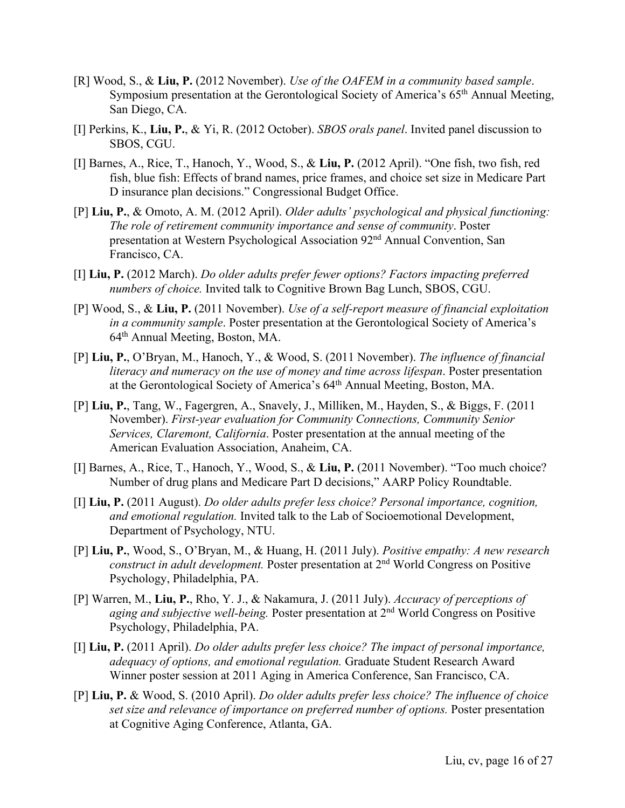- [R] Wood, S., & **Liu, P.** (2012 November). *Use of the OAFEM in a community based sample*. Symposium presentation at the Gerontological Society of America's 65<sup>th</sup> Annual Meeting, San Diego, CA.
- [I] Perkins, K., **Liu, P.**, & Yi, R. (2012 October). *SBOS orals panel*. Invited panel discussion to SBOS, CGU.
- [I] Barnes, A., Rice, T., Hanoch, Y., Wood, S., & **Liu, P.** (2012 April). "One fish, two fish, red fish, blue fish: Effects of brand names, price frames, and choice set size in Medicare Part D insurance plan decisions." Congressional Budget Office.
- [P] **Liu, P.**, & Omoto, A. M. (2012 April). *Older adults' psychological and physical functioning: The role of retirement community importance and sense of community*. Poster presentation at Western Psychological Association 92nd Annual Convention, San Francisco, CA.
- [I] **Liu, P.** (2012 March). *Do older adults prefer fewer options? Factors impacting preferred numbers of choice.* Invited talk to Cognitive Brown Bag Lunch, SBOS, CGU.
- [P] Wood, S., & **Liu, P.** (2011 November). *Use of a self-report measure of financial exploitation in a community sample*. Poster presentation at the Gerontological Society of America's 64th Annual Meeting, Boston, MA.
- [P] **Liu, P.**, O'Bryan, M., Hanoch, Y., & Wood, S. (2011 November). *The influence of financial literacy and numeracy on the use of money and time across lifespan*. Poster presentation at the Gerontological Society of America's 64th Annual Meeting, Boston, MA.
- [P] **Liu, P.**, Tang, W., Fagergren, A., Snavely, J., Milliken, M., Hayden, S., & Biggs, F. (2011 November). *First-year evaluation for Community Connections, Community Senior Services, Claremont, California*. Poster presentation at the annual meeting of the American Evaluation Association, Anaheim, CA.
- [I] Barnes, A., Rice, T., Hanoch, Y., Wood, S., & **Liu, P.** (2011 November). "Too much choice? Number of drug plans and Medicare Part D decisions," AARP Policy Roundtable.
- [I] **Liu, P.** (2011 August). *Do older adults prefer less choice? Personal importance, cognition, and emotional regulation.* Invited talk to the Lab of Socioemotional Development, Department of Psychology, NTU.
- [P] **Liu, P.**, Wood, S., O'Bryan, M., & Huang, H. (2011 July). *Positive empathy: A new research construct in adult development.* Poster presentation at 2nd World Congress on Positive Psychology, Philadelphia, PA.
- [P] Warren, M., **Liu, P.**, Rho, Y. J., & Nakamura, J. (2011 July). *Accuracy of perceptions of aging and subjective well-being.* Poster presentation at 2nd World Congress on Positive Psychology, Philadelphia, PA.
- [I] **Liu, P.** (2011 April). *Do older adults prefer less choice? The impact of personal importance, adequacy of options, and emotional regulation.* Graduate Student Research Award Winner poster session at 2011 Aging in America Conference, San Francisco, CA.
- [P] **Liu, P.** & Wood, S. (2010 April). *Do older adults prefer less choice? The influence of choice set size and relevance of importance on preferred number of options.* Poster presentation at Cognitive Aging Conference, Atlanta, GA.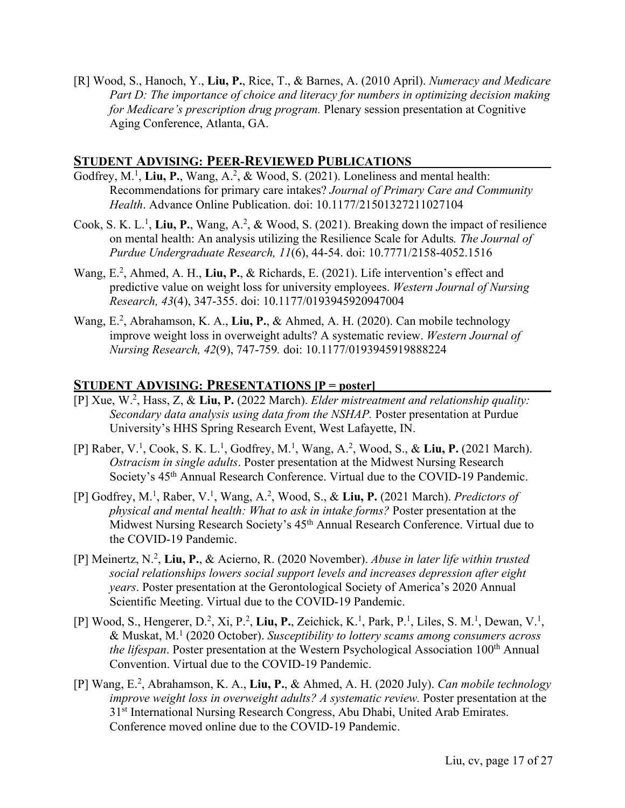[R] Wood, S., Hanoch, Y., **Liu, P.**, Rice, T., & Barnes, A. (2010 April). *Numeracy and Medicare Part D: The importance of choice and literacy for numbers in optimizing decision making for Medicare's prescription drug program.* Plenary session presentation at Cognitive Aging Conference, Atlanta, GA.

#### **STUDENT ADVISING: PEER-REVIEWED PUBLICATIONS**

- Godfrey, M.<sup>1</sup>, Liu, P., Wang, A.<sup>2</sup>, & Wood, S. (2021). Loneliness and mental health: Recommendations for primary care intakes? *Journal of Primary Care and Community Health*. Advance Online Publication. doi: 10.1177/21501327211027104
- Cook, S. K. L.<sup>1</sup>, Liu, P., Wang, A.<sup>2</sup>, & Wood, S. (2021). Breaking down the impact of resilience on mental health: An analysis utilizing the Resilience Scale for Adults*. The Journal of Purdue Undergraduate Research, 11*(6), 44-54. doi: 10.7771/2158-4052.1516
- Wang, E.<sup>2</sup>, Ahmed, A. H., Liu, P., & Richards, E. (2021). Life intervention's effect and predictive value on weight loss for university employees. *Western Journal of Nursing Research, 43*(4), 347-355. doi: 10.1177/0193945920947004
- Wang, E.<sup>2</sup>, Abrahamson, K. A., Liu, P., & Ahmed, A. H. (2020). Can mobile technology improve weight loss in overweight adults? A systematic review. *Western Journal of Nursing Research, 42*(9), 747-759*.* doi: 10.1177/0193945919888224

#### **STUDENT ADVISING: PRESENTATIONS [P = poster]**

- [P] Xue, W.2 , Hass, Z, & **Liu, P.** (2022 March). *Elder mistreatment and relationship quality: Secondary data analysis using data from the NSHAP.* Poster presentation at Purdue University's HHS Spring Research Event, West Lafayette, IN.
- [P] Raber, V.<sup>1</sup>, Cook, S. K. L.<sup>1</sup>, Godfrey, M.<sup>1</sup>, Wang, A.<sup>2</sup>, Wood, S., & Liu, P. (2021 March). *Ostracism in single adults*. Poster presentation at the Midwest Nursing Research Society's 45<sup>th</sup> Annual Research Conference. Virtual due to the COVID-19 Pandemic.
- [P] Godfrey, M. 1 , Raber, V. 1 , Wang, A. 2 , Wood, S., & **Liu, P.** (2021 March). *Predictors of physical and mental health: What to ask in intake forms?* Poster presentation at the Midwest Nursing Research Society's 45<sup>th</sup> Annual Research Conference. Virtual due to the COVID-19 Pandemic.
- [P] Meinertz, N. 2 , **Liu, P.**, & Acierno, R. (2020 November). *Abuse in later life within trusted social relationships lowers social support levels and increases depression after eight years*. Poster presentation at the Gerontological Society of America's 2020 Annual Scientific Meeting. Virtual due to the COVID-19 Pandemic.
- [P] Wood, S., Hengerer, D.<sup>2</sup>, Xi, P.<sup>2</sup>, Liu, P., Zeichick, K.<sup>1</sup>, Park, P.<sup>1</sup>, Liles, S. M.<sup>1</sup>, Dewan, V.<sup>1</sup>, & Muskat, M.1 (2020 October). *Susceptibility to lottery scams among consumers across the lifespan*. Poster presentation at the Western Psychological Association 100th Annual Convention. Virtual due to the COVID-19 Pandemic.
- [P] Wang, E.2 , Abrahamson, K. A., **Liu, P.**, & Ahmed, A. H. (2020 July). *Can mobile technology improve weight loss in overweight adults? A systematic review.* Poster presentation at the 31<sup>st</sup> International Nursing Research Congress, Abu Dhabi, United Arab Emirates. Conference moved online due to the COVID-19 Pandemic.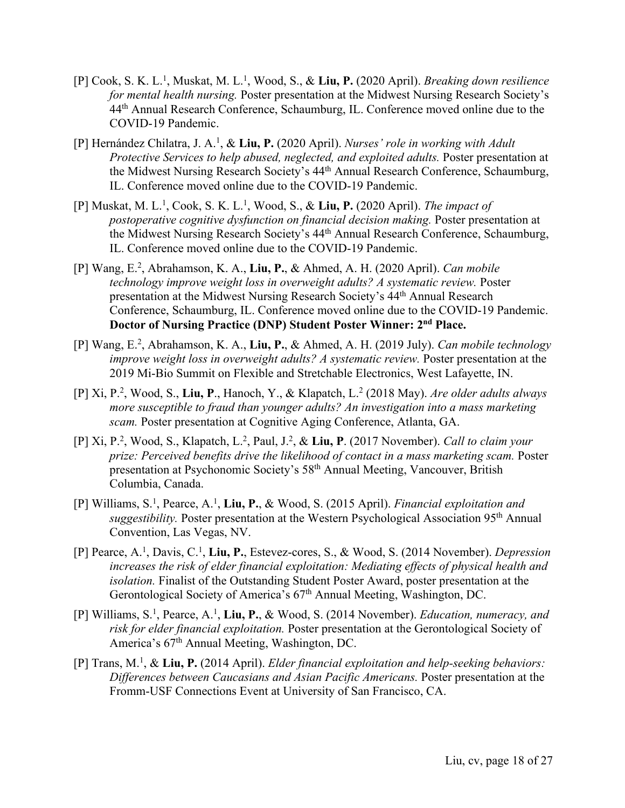- [P] Cook, S. K. L.1 , Muskat, M. L.1 , Wood, S., & **Liu, P.** (2020 April). *Breaking down resilience for mental health nursing.* Poster presentation at the Midwest Nursing Research Society's 44<sup>th</sup> Annual Research Conference, Schaumburg, IL. Conference moved online due to the COVID-19 Pandemic.
- [P] Hernández Chilatra, J. A.1 , & **Liu, P.** (2020 April). *Nurses' role in working with Adult Protective Services to help abused, neglected, and exploited adults.* Poster presentation at the Midwest Nursing Research Society's 44th Annual Research Conference, Schaumburg, IL. Conference moved online due to the COVID-19 Pandemic.
- [P] Muskat, M. L.<sup>1</sup>, Cook, S. K. L.<sup>1</sup>, Wood, S., & Liu, P. (2020 April). *The impact of postoperative cognitive dysfunction on financial decision making.* Poster presentation at the Midwest Nursing Research Society's 44th Annual Research Conference, Schaumburg, IL. Conference moved online due to the COVID-19 Pandemic.
- [P] Wang, E. 2 , Abrahamson, K. A., **Liu, P.**, & Ahmed, A. H. (2020 April). *Can mobile technology improve weight loss in overweight adults? A systematic review.* Poster presentation at the Midwest Nursing Research Society's 44th Annual Research Conference, Schaumburg, IL. Conference moved online due to the COVID-19 Pandemic. **Doctor of Nursing Practice (DNP) Student Poster Winner: 2nd Place.**
- [P] Wang, E.2 , Abrahamson, K. A., **Liu, P.**, & Ahmed, A. H. (2019 July). *Can mobile technology improve weight loss in overweight adults? A systematic review.* Poster presentation at the 2019 Mi-Bio Summit on Flexible and Stretchable Electronics, West Lafayette, IN.
- [P] Xi, P.2 , Wood, S., **Liu, P**., Hanoch, Y., & Klapatch, L.2 (2018 May). *Are older adults always more susceptible to fraud than younger adults? An investigation into a mass marketing scam.* Poster presentation at Cognitive Aging Conference, Atlanta, GA.
- [P] Xi, P.2 , Wood, S., Klapatch, L. 2 , Paul, J.2 , & **Liu, P**. (2017 November). *Call to claim your prize: Perceived benefits drive the likelihood of contact in a mass marketing scam.* Poster presentation at Psychonomic Society's 58th Annual Meeting, Vancouver, British Columbia, Canada.
- [P] Williams, S.1 , Pearce, A.1 , **Liu, P.**, & Wood, S. (2015 April). *Financial exploitation and suggestibility.* Poster presentation at the Western Psychological Association 95th Annual Convention, Las Vegas, NV.
- [P] Pearce, A.1 , Davis, C.1 , **Liu, P.**, Estevez-cores, S., & Wood, S. (2014 November). *Depression increases the risk of elder financial exploitation: Mediating effects of physical health and isolation.* Finalist of the Outstanding Student Poster Award, poster presentation at the Gerontological Society of America's 67<sup>th</sup> Annual Meeting, Washington, DC.
- [P] Williams, S. 1 , Pearce, A. 1 , **Liu, P.**, & Wood, S. (2014 November). *Education, numeracy, and risk for elder financial exploitation.* Poster presentation at the Gerontological Society of America's 67<sup>th</sup> Annual Meeting, Washington, DC.
- [P] Trans, M.1 , & **Liu, P.** (2014 April). *Elder financial exploitation and help-seeking behaviors: Differences between Caucasians and Asian Pacific Americans.* Poster presentation at the Fromm-USF Connections Event at University of San Francisco, CA.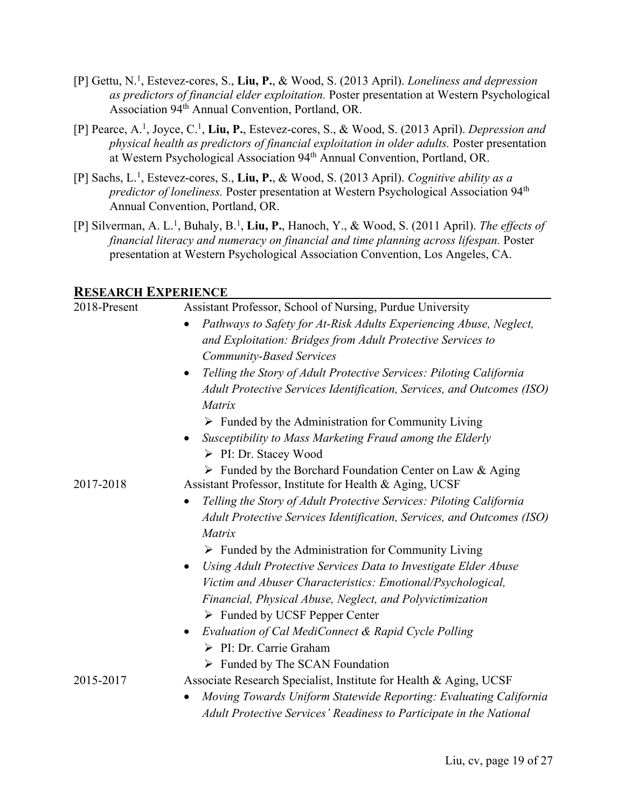- [P] Gettu, N. 1 , Estevez-cores, S., **Liu, P.**, & Wood, S. (2013 April). *Loneliness and depression as predictors of financial elder exploitation.* Poster presentation at Western Psychological Association 94th Annual Convention, Portland, OR.
- [P] Pearce, A. 1 , Joyce, C. 1 , **Liu, P.**, Estevez-cores, S., & Wood, S. (2013 April). *Depression and physical health as predictors of financial exploitation in older adults.* Poster presentation at Western Psychological Association 94th Annual Convention, Portland, OR.
- [P] Sachs, L. 1 , Estevez-cores, S., **Liu, P.**, & Wood, S. (2013 April). *Cognitive ability as a predictor of loneliness.* Poster presentation at Western Psychological Association 94th Annual Convention, Portland, OR.
- [P] Silverman, A. L. 1 , Buhaly, B. 1 , **Liu, P.**, Hanoch, Y., & Wood, S. (2011 April). *The effects of financial literacy and numeracy on financial and time planning across lifespan.* Poster presentation at Western Psychological Association Convention, Los Angeles, CA.

#### **RESEARCH EXPERIENCE**

| 2018-Present | Assistant Professor, School of Nursing, Purdue University                        |  |  |
|--------------|----------------------------------------------------------------------------------|--|--|
|              | Pathways to Safety for At-Risk Adults Experiencing Abuse, Neglect,               |  |  |
|              | and Exploitation: Bridges from Adult Protective Services to                      |  |  |
|              | <b>Community-Based Services</b>                                                  |  |  |
|              | Telling the Story of Adult Protective Services: Piloting California<br>$\bullet$ |  |  |
|              | Adult Protective Services Identification, Services, and Outcomes (ISO)           |  |  |
|              | Matrix                                                                           |  |  |
|              | $\triangleright$ Funded by the Administration for Community Living               |  |  |
|              | Susceptibility to Mass Marketing Fraud among the Elderly                         |  |  |
|              | ▶ PI: Dr. Stacey Wood                                                            |  |  |
|              | $\triangleright$ Funded by the Borchard Foundation Center on Law & Aging         |  |  |
| 2017-2018    | Assistant Professor, Institute for Health & Aging, UCSF                          |  |  |
|              | Telling the Story of Adult Protective Services: Piloting California              |  |  |
|              | Adult Protective Services Identification, Services, and Outcomes (ISO)           |  |  |
|              | Matrix                                                                           |  |  |
|              | $\triangleright$ Funded by the Administration for Community Living               |  |  |
|              | Using Adult Protective Services Data to Investigate Elder Abuse<br>$\bullet$     |  |  |
|              | Victim and Abuser Characteristics: Emotional/Psychological,                      |  |  |
|              | Financial, Physical Abuse, Neglect, and Polyvictimization                        |  |  |
|              | $\triangleright$ Funded by UCSF Pepper Center                                    |  |  |
|              | Evaluation of Cal MediConnect & Rapid Cycle Polling<br>$\bullet$                 |  |  |
|              | > PI: Dr. Carrie Graham                                                          |  |  |
|              | > Funded by The SCAN Foundation                                                  |  |  |
| 2015-2017    | Associate Research Specialist, Institute for Health & Aging, UCSF                |  |  |
|              | Moving Towards Uniform Statewide Reporting: Evaluating California                |  |  |
|              | Adult Protective Services' Readiness to Participate in the National              |  |  |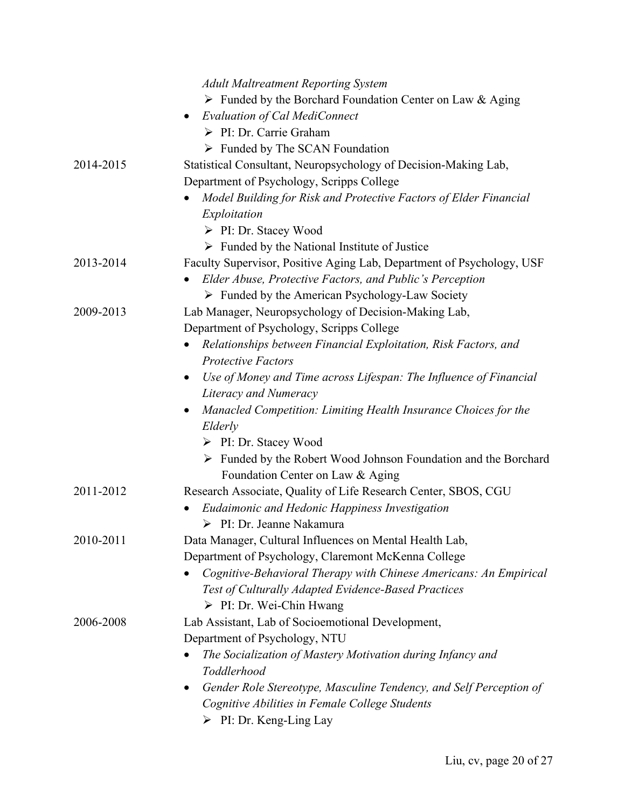|           | <b>Adult Maltreatment Reporting System</b>                                     |
|-----------|--------------------------------------------------------------------------------|
|           | > Funded by the Borchard Foundation Center on Law & Aging                      |
|           | <b>Evaluation of Cal MediConnect</b><br>$\bullet$                              |
|           | $\triangleright$ PI: Dr. Carrie Graham                                         |
|           | $\triangleright$ Funded by The SCAN Foundation                                 |
| 2014-2015 | Statistical Consultant, Neuropsychology of Decision-Making Lab,                |
|           | Department of Psychology, Scripps College                                      |
|           | Model Building for Risk and Protective Factors of Elder Financial              |
|           | Exploitation                                                                   |
|           | $\triangleright$ PI: Dr. Stacey Wood                                           |
|           | $\triangleright$ Funded by the National Institute of Justice                   |
| 2013-2014 | Faculty Supervisor, Positive Aging Lab, Department of Psychology, USF          |
|           | Elder Abuse, Protective Factors, and Public's Perception                       |
|           | $\triangleright$ Funded by the American Psychology-Law Society                 |
| 2009-2013 | Lab Manager, Neuropsychology of Decision-Making Lab,                           |
|           | Department of Psychology, Scripps College                                      |
|           | Relationships between Financial Exploitation, Risk Factors, and                |
|           | <b>Protective Factors</b>                                                      |
|           | Use of Money and Time across Lifespan: The Influence of Financial<br>$\bullet$ |
|           | Literacy and Numeracy                                                          |
|           | Manacled Competition: Limiting Health Insurance Choices for the<br>$\bullet$   |
|           | Elderly                                                                        |
|           | $\triangleright$ PI: Dr. Stacey Wood                                           |
|           | $\triangleright$ Funded by the Robert Wood Johnson Foundation and the Borchard |
|           | Foundation Center on Law & Aging                                               |
| 2011-2012 | Research Associate, Quality of Life Research Center, SBOS, CGU                 |
|           | Eudaimonic and Hedonic Happiness Investigation<br>$\bullet$                    |
|           | $\triangleright$ PI: Dr. Jeanne Nakamura                                       |
| 2010-2011 | Data Manager, Cultural Influences on Mental Health Lab,                        |
|           | Department of Psychology, Claremont McKenna College                            |
|           | Cognitive-Behavioral Therapy with Chinese Americans: An Empirical              |
|           | Test of Culturally Adapted Evidence-Based Practices                            |
|           | $\triangleright$ PI: Dr. Wei-Chin Hwang                                        |
| 2006-2008 | Lab Assistant, Lab of Socioemotional Development,                              |
|           | Department of Psychology, NTU                                                  |
|           | The Socialization of Mastery Motivation during Infancy and                     |
|           | Toddlerhood                                                                    |
|           | Gender Role Stereotype, Masculine Tendency, and Self Perception of<br>٠        |
|           | Cognitive Abilities in Female College Students                                 |
|           | $\triangleright$ PI: Dr. Keng-Ling Lay                                         |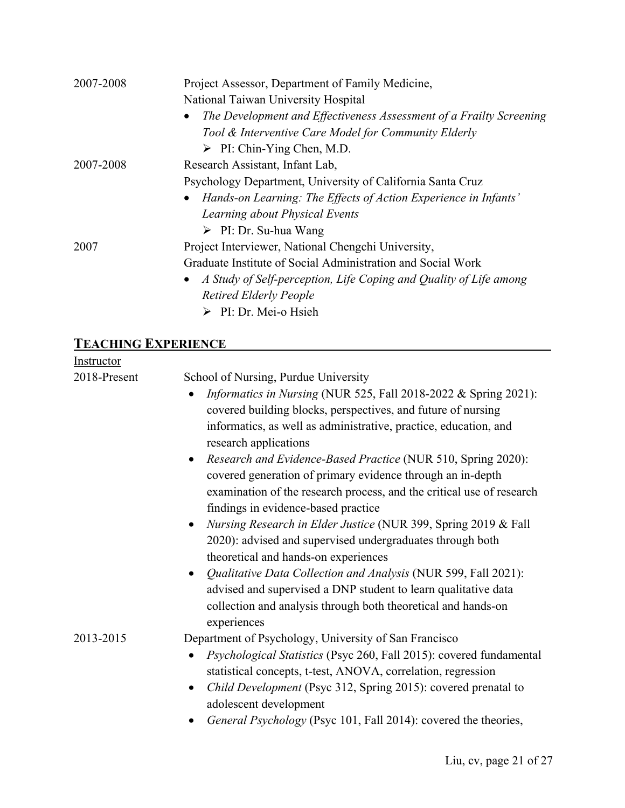| 2007-2008 | Project Assessor, Department of Family Medicine,                                 |  |
|-----------|----------------------------------------------------------------------------------|--|
|           | National Taiwan University Hospital                                              |  |
|           | The Development and Effectiveness Assessment of a Frailty Screening<br>$\bullet$ |  |
|           | Tool & Interventive Care Model for Community Elderly                             |  |
|           | $\triangleright$ PI: Chin-Ying Chen, M.D.                                        |  |
| 2007-2008 | Research Assistant, Infant Lab,                                                  |  |
|           | Psychology Department, University of California Santa Cruz                       |  |
|           | Hands-on Learning: The Effects of Action Experience in Infants'                  |  |
|           | Learning about Physical Events                                                   |  |
|           | $\triangleright$ PI: Dr. Su-hua Wang                                             |  |
| 2007      | Project Interviewer, National Chengchi University,                               |  |
|           | Graduate Institute of Social Administration and Social Work                      |  |
|           | A Study of Self-perception, Life Coping and Quality of Life among<br>$\bullet$   |  |
|           | <b>Retired Elderly People</b>                                                    |  |
|           | PI: Dr. Mei-o Hsieh                                                              |  |
|           |                                                                                  |  |

# **TEACHING EXPERIENCE**

| Instructor   |                                                                                                                                                                                                                                                                                                                                                                                                                                                                                                                                                                                                                                                                                                                                                                                                                                                                                                                                              |
|--------------|----------------------------------------------------------------------------------------------------------------------------------------------------------------------------------------------------------------------------------------------------------------------------------------------------------------------------------------------------------------------------------------------------------------------------------------------------------------------------------------------------------------------------------------------------------------------------------------------------------------------------------------------------------------------------------------------------------------------------------------------------------------------------------------------------------------------------------------------------------------------------------------------------------------------------------------------|
| 2018-Present | School of Nursing, Purdue University<br><i>Informatics in Nursing</i> (NUR 525, Fall 2018-2022 & Spring 2021):<br>covered building blocks, perspectives, and future of nursing<br>informatics, as well as administrative, practice, education, and<br>research applications<br>Research and Evidence-Based Practice (NUR 510, Spring 2020):<br>$\bullet$<br>covered generation of primary evidence through an in-depth<br>examination of the research process, and the critical use of research<br>findings in evidence-based practice<br>Nursing Research in Elder Justice (NUR 399, Spring 2019 & Fall<br>$\bullet$<br>2020): advised and supervised undergraduates through both<br>theoretical and hands-on experiences<br>Qualitative Data Collection and Analysis (NUR 599, Fall 2021):<br>$\bullet$<br>advised and supervised a DNP student to learn qualitative data<br>collection and analysis through both theoretical and hands-on |
| 2013-2015    | experiences<br>Department of Psychology, University of San Francisco<br>Psychological Statistics (Psyc 260, Fall 2015): covered fundamental<br>statistical concepts, t-test, ANOVA, correlation, regression<br>Child Development (Psyc 312, Spring 2015): covered prenatal to<br>$\bullet$<br>adolescent development<br>General Psychology (Psyc 101, Fall 2014): covered the theories,                                                                                                                                                                                                                                                                                                                                                                                                                                                                                                                                                      |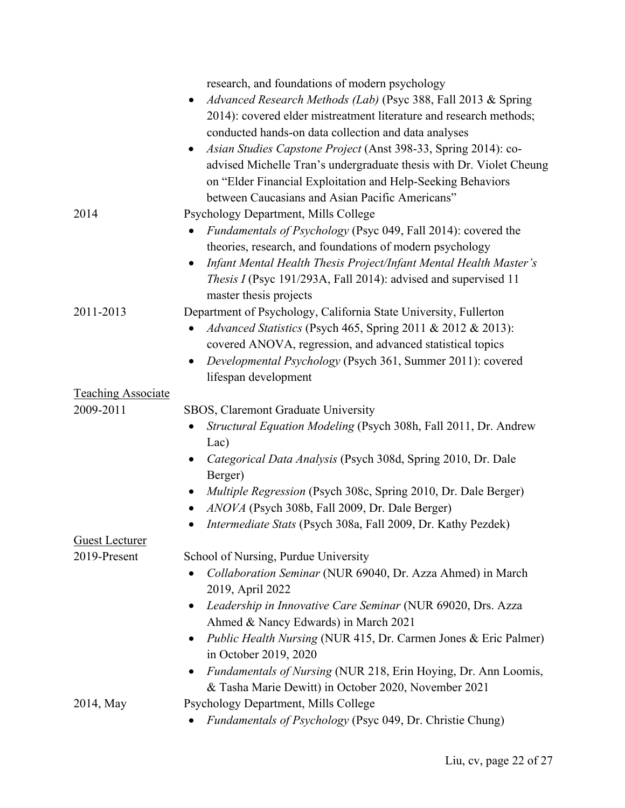|                           | research, and foundations of modern psychology                                 |
|---------------------------|--------------------------------------------------------------------------------|
|                           | Advanced Research Methods (Lab) (Psyc 388, Fall 2013 & Spring<br>$\bullet$     |
|                           | 2014): covered elder mistreatment literature and research methods;             |
|                           | conducted hands-on data collection and data analyses                           |
|                           | Asian Studies Capstone Project (Anst 398-33, Spring 2014): co-<br>$\bullet$    |
|                           | advised Michelle Tran's undergraduate thesis with Dr. Violet Cheung            |
|                           | on "Elder Financial Exploitation and Help-Seeking Behaviors                    |
|                           | between Caucasians and Asian Pacific Americans"                                |
| 2014                      | Psychology Department, Mills College                                           |
|                           | <i>Fundamentals of Psychology</i> (Psyc 049, Fall 2014): covered the           |
|                           | theories, research, and foundations of modern psychology                       |
|                           | Infant Mental Health Thesis Project/Infant Mental Health Master's<br>$\bullet$ |
|                           | <i>Thesis I</i> (Psyc 191/293A, Fall 2014): advised and supervised 11          |
|                           | master thesis projects                                                         |
| 2011-2013                 | Department of Psychology, California State University, Fullerton               |
|                           | Advanced Statistics (Psych 465, Spring 2011 & 2012 & 2013):                    |
|                           | covered ANOVA, regression, and advanced statistical topics                     |
|                           | Developmental Psychology (Psych 361, Summer 2011): covered<br>$\bullet$        |
|                           | lifespan development                                                           |
| <b>Teaching Associate</b> |                                                                                |
| 2009-2011                 | SBOS, Claremont Graduate University                                            |
|                           | Structural Equation Modeling (Psych 308h, Fall 2011, Dr. Andrew                |
|                           | Lac)                                                                           |
|                           | Categorical Data Analysis (Psych 308d, Spring 2010, Dr. Dale<br>$\bullet$      |
|                           | Berger)                                                                        |
|                           | Multiple Regression (Psych 308c, Spring 2010, Dr. Dale Berger)                 |
|                           | ANOVA (Psych 308b, Fall 2009, Dr. Dale Berger)<br>$\bullet$                    |
|                           | Intermediate Stats (Psych 308a, Fall 2009, Dr. Kathy Pezdek)<br>٠              |
| <b>Guest Lecturer</b>     |                                                                                |
| 2019-Present              | School of Nursing, Purdue University                                           |
|                           | Collaboration Seminar (NUR 69040, Dr. Azza Ahmed) in March                     |
|                           | 2019, April 2022                                                               |
|                           | Leadership in Innovative Care Seminar (NUR 69020, Drs. Azza<br>$\bullet$       |
|                           | Ahmed & Nancy Edwards) in March 2021                                           |
|                           | <i>Public Health Nursing</i> (NUR 415, Dr. Carmen Jones & Eric Palmer)         |
|                           | in October 2019, 2020                                                          |
|                           | Fundamentals of Nursing (NUR 218, Erin Hoying, Dr. Ann Loomis,<br>$\bullet$    |
|                           | & Tasha Marie Dewitt) in October 2020, November 2021                           |
| 2014, May                 | Psychology Department, Mills College                                           |
|                           | Fundamentals of Psychology (Psyc 049, Dr. Christie Chung)                      |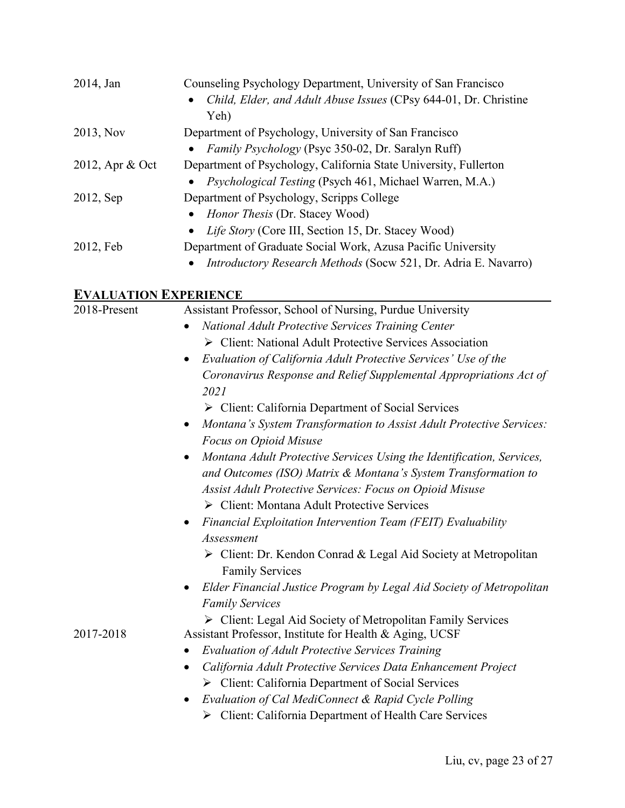| 2014, Jan       | Counseling Psychology Department, University of San Francisco<br>Child, Elder, and Adult Abuse Issues (CPsy 644-01, Dr. Christine |  |
|-----------------|-----------------------------------------------------------------------------------------------------------------------------------|--|
|                 | Yeh)                                                                                                                              |  |
| 2013, Nov       | Department of Psychology, University of San Francisco                                                                             |  |
|                 | • Family Psychology (Psyc 350-02, Dr. Saralyn Ruff)                                                                               |  |
| 2012, Apr & Oct | Department of Psychology, California State University, Fullerton                                                                  |  |
|                 | • <i>Psychological Testing</i> (Psych 461, Michael Warren, M.A.)                                                                  |  |
| 2012, Sep       | Department of Psychology, Scripps College                                                                                         |  |
|                 | • Honor Thesis (Dr. Stacey Wood)                                                                                                  |  |
|                 | • Life Story (Core III, Section 15, Dr. Stacey Wood)                                                                              |  |
| 2012, Feb       | Department of Graduate Social Work, Azusa Pacific University                                                                      |  |
|                 | <i>Introductory Research Methods</i> (Socw 521, Dr. Adria E. Navarro)                                                             |  |

# **EVALUATION EXPERIENCE**

| 2018-Present | Assistant Professor, School of Nursing, Purdue University                                                   |  |  |
|--------------|-------------------------------------------------------------------------------------------------------------|--|--|
|              | National Adult Protective Services Training Center                                                          |  |  |
|              | > Client: National Adult Protective Services Association                                                    |  |  |
|              | Evaluation of California Adult Protective Services' Use of the<br>$\bullet$                                 |  |  |
|              | Coronavirus Response and Relief Supplemental Appropriations Act of<br>2021                                  |  |  |
|              | $\triangleright$ Client: California Department of Social Services                                           |  |  |
|              | Montana's System Transformation to Assist Adult Protective Services:<br>$\bullet$<br>Focus on Opioid Misuse |  |  |
|              | Montana Adult Protective Services Using the Identification, Services,<br>$\bullet$                          |  |  |
|              | and Outcomes (ISO) Matrix & Montana's System Transformation to                                              |  |  |
|              | Assist Adult Protective Services: Focus on Opioid Misuse                                                    |  |  |
|              | $\triangleright$ Client: Montana Adult Protective Services                                                  |  |  |
|              | Financial Exploitation Intervention Team (FEIT) Evaluability                                                |  |  |
|              | Assessment                                                                                                  |  |  |
|              | $\triangleright$ Client: Dr. Kendon Conrad & Legal Aid Society at Metropolitan<br><b>Family Services</b>    |  |  |
|              | Elder Financial Justice Program by Legal Aid Society of Metropolitan<br>$\bullet$                           |  |  |
|              | <b>Family Services</b>                                                                                      |  |  |
|              | > Client: Legal Aid Society of Metropolitan Family Services                                                 |  |  |
| 2017-2018    | Assistant Professor, Institute for Health & Aging, UCSF                                                     |  |  |
|              | <b>Evaluation of Adult Protective Services Training</b><br>٠                                                |  |  |
|              | California Adult Protective Services Data Enhancement Project<br>$\bullet$                                  |  |  |
|              | $\triangleright$ Client: California Department of Social Services                                           |  |  |
|              | Evaluation of Cal MediConnect & Rapid Cycle Polling                                                         |  |  |
|              | > Client: California Department of Health Care Services                                                     |  |  |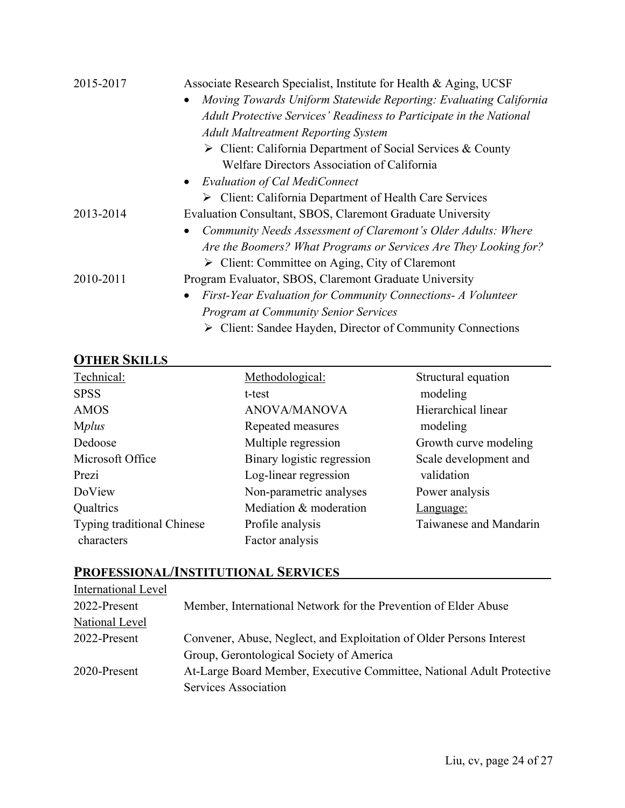| 2015-2017 | Associate Research Specialist, Institute for Health & Aging, UCSF          |
|-----------|----------------------------------------------------------------------------|
|           | Moving Towards Uniform Statewide Reporting: Evaluating California          |
|           | Adult Protective Services' Readiness to Participate in the National        |
|           | <b>Adult Maltreatment Reporting System</b>                                 |
|           | $\triangleright$ Client: California Department of Social Services & County |
|           | Welfare Directors Association of California                                |
|           | • Evaluation of Cal MediConnect                                            |
|           | $\triangleright$ Client: California Department of Health Care Services     |
| 2013-2014 | Evaluation Consultant, SBOS, Claremont Graduate University                 |
|           | Community Needs Assessment of Claremont's Older Adults: Where<br>$\bullet$ |
|           | Are the Boomers? What Programs or Services Are They Looking for?           |
|           | $\triangleright$ Client: Committee on Aging, City of Claremont             |
| 2010-2011 | Program Evaluator, SBOS, Claremont Graduate University                     |
|           | First-Year Evaluation for Community Connections- A Volunteer<br>$\bullet$  |
|           | <b>Program at Community Senior Services</b>                                |
|           | $\triangleright$ Client: Sandee Hayden, Director of Community Connections  |

### **OTHER SKILLS**

| <b>OTHEIV AIZILIPA</b>            |                            |                        |
|-----------------------------------|----------------------------|------------------------|
| Technical:                        | Methodological:            | Structural equation    |
| <b>SPSS</b>                       | t-test                     | modeling               |
| <b>AMOS</b>                       | <b>ANOVA/MANOVA</b>        | Hierarchical linear    |
| <b>Mplus</b>                      | Repeated measures          | modeling               |
| Dedoose                           | Multiple regression        | Growth curve modeling  |
| Microsoft Office                  | Binary logistic regression | Scale development and  |
| Prezi                             | Log-linear regression      | validation             |
| DoView                            | Non-parametric analyses    | Power analysis         |
| Qualtrics                         | Mediation & moderation     | <u>Language:</u>       |
| <b>Typing traditional Chinese</b> | Profile analysis           | Taiwanese and Mandarin |
| characters                        | Factor analysis            |                        |

# **PROFESSIONAL/INSTITUTIONAL SERVICES**

| International Level |                                                                       |
|---------------------|-----------------------------------------------------------------------|
| 2022-Present        | Member, International Network for the Prevention of Elder Abuse       |
| National Level      |                                                                       |
| 2022-Present        | Convener, Abuse, Neglect, and Exploitation of Older Persons Interest  |
|                     | Group, Gerontological Society of America                              |
| 2020-Present        | At-Large Board Member, Executive Committee, National Adult Protective |
|                     | Services Association                                                  |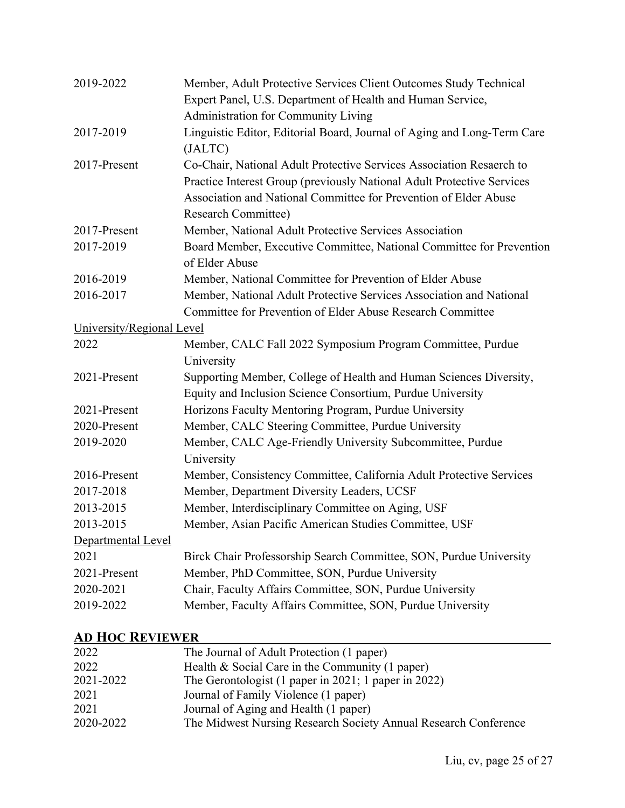| 2019-2022                 | Member, Adult Protective Services Client Outcomes Study Technical<br>Expert Panel, U.S. Department of Health and Human Service,<br>Administration for Community Living                                                                           |
|---------------------------|--------------------------------------------------------------------------------------------------------------------------------------------------------------------------------------------------------------------------------------------------|
| 2017-2019                 | Linguistic Editor, Editorial Board, Journal of Aging and Long-Term Care<br>(JALTC)                                                                                                                                                               |
| 2017-Present              | Co-Chair, National Adult Protective Services Association Resaerch to<br>Practice Interest Group (previously National Adult Protective Services<br>Association and National Committee for Prevention of Elder Abuse<br><b>Research Committee)</b> |
| 2017-Present              | Member, National Adult Protective Services Association                                                                                                                                                                                           |
| 2017-2019                 | Board Member, Executive Committee, National Committee for Prevention<br>of Elder Abuse                                                                                                                                                           |
| 2016-2019                 | Member, National Committee for Prevention of Elder Abuse                                                                                                                                                                                         |
| 2016-2017                 | Member, National Adult Protective Services Association and National<br>Committee for Prevention of Elder Abuse Research Committee                                                                                                                |
| University/Regional Level |                                                                                                                                                                                                                                                  |
| 2022                      | Member, CALC Fall 2022 Symposium Program Committee, Purdue<br>University                                                                                                                                                                         |
| 2021-Present              | Supporting Member, College of Health and Human Sciences Diversity,<br>Equity and Inclusion Science Consortium, Purdue University                                                                                                                 |
| 2021-Present              | Horizons Faculty Mentoring Program, Purdue University                                                                                                                                                                                            |
| 2020-Present              | Member, CALC Steering Committee, Purdue University                                                                                                                                                                                               |
| 2019-2020                 | Member, CALC Age-Friendly University Subcommittee, Purdue<br>University                                                                                                                                                                          |
| 2016-Present              | Member, Consistency Committee, California Adult Protective Services                                                                                                                                                                              |
| 2017-2018                 | Member, Department Diversity Leaders, UCSF                                                                                                                                                                                                       |
| 2013-2015                 | Member, Interdisciplinary Committee on Aging, USF                                                                                                                                                                                                |
| 2013-2015                 | Member, Asian Pacific American Studies Committee, USF                                                                                                                                                                                            |
| Departmental Level        |                                                                                                                                                                                                                                                  |
| 2021                      | Birck Chair Professorship Search Committee, SON, Purdue University                                                                                                                                                                               |
| 2021-Present              | Member, PhD Committee, SON, Purdue University                                                                                                                                                                                                    |
| 2020-2021                 | Chair, Faculty Affairs Committee, SON, Purdue University                                                                                                                                                                                         |
| 2019-2022                 | Member, Faculty Affairs Committee, SON, Purdue University                                                                                                                                                                                        |

### **AD HOC REVIEWER**

| AD HUU NEVIEWEK |                                                                 |  |
|-----------------|-----------------------------------------------------------------|--|
| 2022            | The Journal of Adult Protection (1 paper)                       |  |
| 2022            | Health $& Social Care in the Community (1 paper)$               |  |
| 2021-2022       | The Gerontologist (1 paper in 2021; 1 paper in 2022)            |  |
| 2021            | Journal of Family Violence (1 paper)                            |  |
| 2021            | Journal of Aging and Health (1 paper)                           |  |
| 2020-2022       | The Midwest Nursing Research Society Annual Research Conference |  |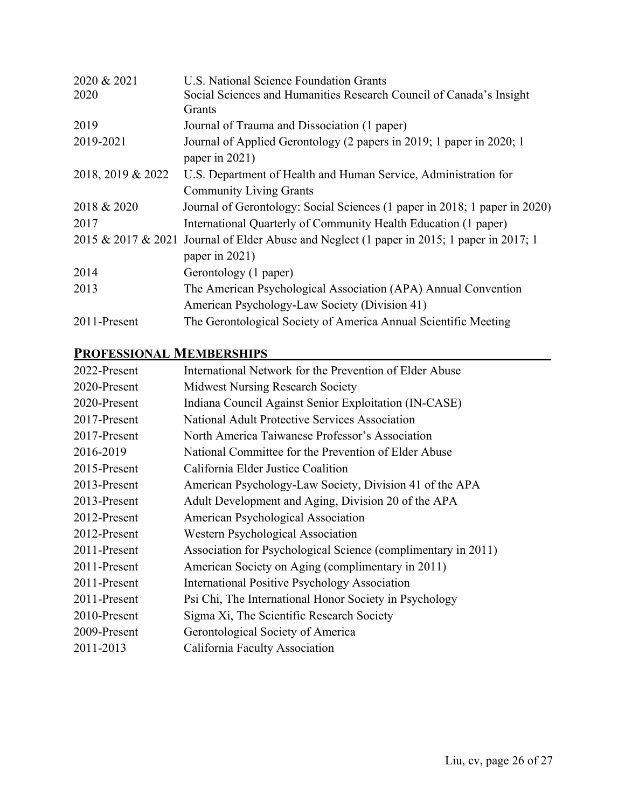| U.S. National Science Foundation Grants                                                    |
|--------------------------------------------------------------------------------------------|
| Social Sciences and Humanities Research Council of Canada's Insight                        |
| Grants                                                                                     |
| Journal of Trauma and Dissociation (1 paper)                                               |
| Journal of Applied Gerontology (2 papers in 2019; 1 paper in 2020; 1                       |
| paper in 2021)                                                                             |
| U.S. Department of Health and Human Service, Administration for                            |
| <b>Community Living Grants</b>                                                             |
| Journal of Gerontology: Social Sciences (1 paper in 2018; 1 paper in 2020)                 |
| International Quarterly of Community Health Education (1 paper)                            |
| 2015 & 2017 & 2021 Journal of Elder Abuse and Neglect (1 paper in 2015; 1 paper in 2017; 1 |
| paper in 2021)                                                                             |
| Gerontology (1 paper)                                                                      |
| The American Psychological Association (APA) Annual Convention                             |
| American Psychology-Law Society (Division 41)                                              |
| The Gerontological Society of America Annual Scientific Meeting                            |
|                                                                                            |

### **PROFESSIONAL MEMBERSHIPS**

| International Network for the Prevention of Elder Abuse       |
|---------------------------------------------------------------|
| <b>Midwest Nursing Research Society</b>                       |
| Indiana Council Against Senior Exploitation (IN-CASE)         |
| National Adult Protective Services Association                |
| North America Taiwanese Professor's Association               |
| National Committee for the Prevention of Elder Abuse          |
| California Elder Justice Coalition                            |
| American Psychology-Law Society, Division 41 of the APA       |
| Adult Development and Aging, Division 20 of the APA           |
| American Psychological Association                            |
| Western Psychological Association                             |
| Association for Psychological Science (complimentary in 2011) |
| American Society on Aging (complimentary in 2011)             |
| International Positive Psychology Association                 |
| Psi Chi, The International Honor Society in Psychology        |
| Sigma Xi, The Scientific Research Society                     |
| Gerontological Society of America                             |
| California Faculty Association                                |
|                                                               |